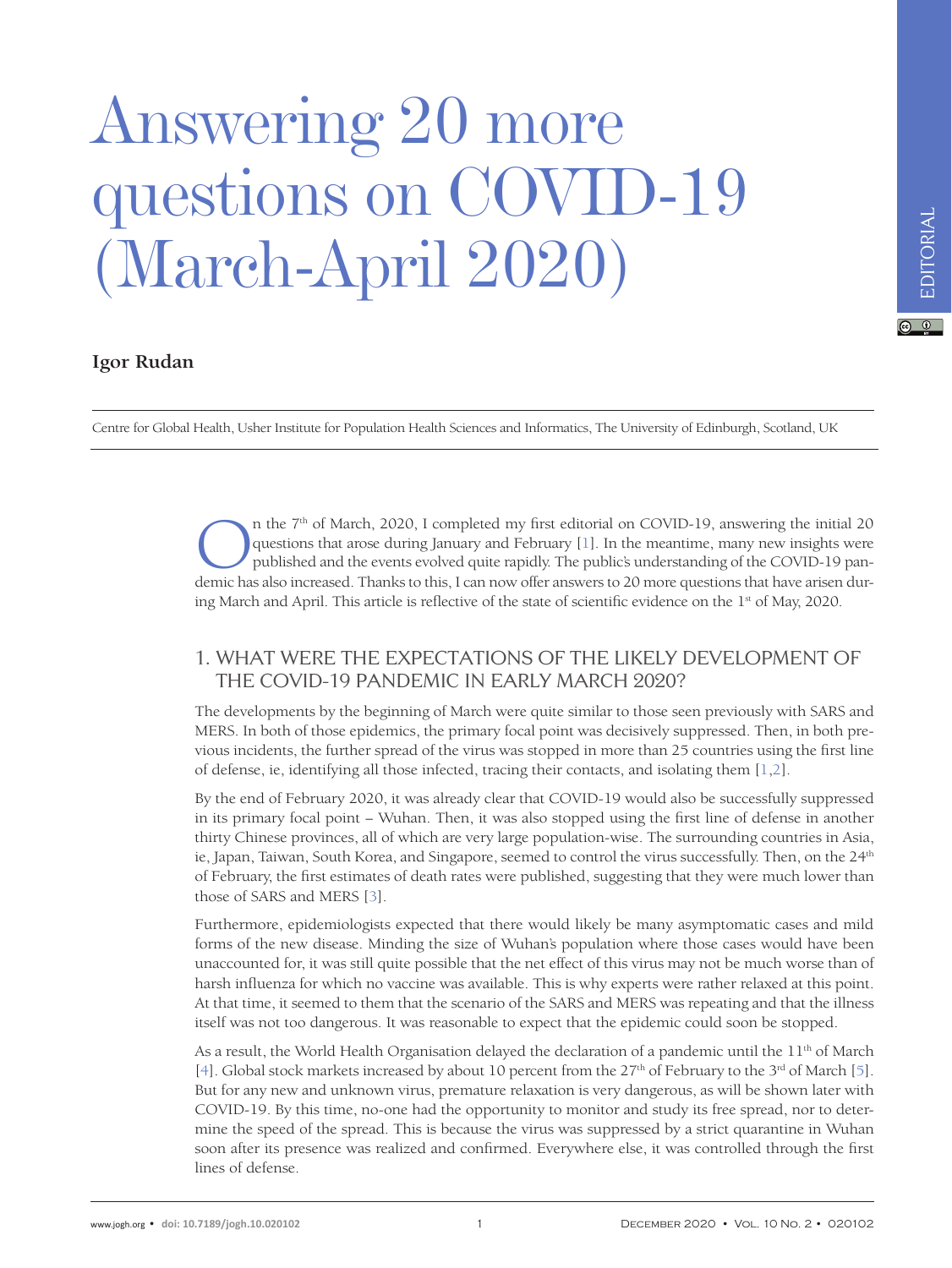# Answering 20 more questions on COVID-19 (March-April 2020)

#### **Igor Rudan**

Centre for Global Health, Usher Institute for Population Health Sciences and Informatics, The University of Edinburgh, Scotland, UK

On the 7th of March, 2020, I completed my first editorial on COVID-19, answering the initial 20 questions that arose during January and February [\[1](#page-16-0)]. In the meantime, many new insights were published and the events evolved quite rapidly. The public's understanding of the COVID-19 pandemic has also increased. Thanks to this, I can now offer answers to 20 more questions that have arisen during March and April. This article is reflective of the state of scientific evidence on the 1<sup>st</sup> of May, 2020.

#### 1. WHAT WERE THE EXPECTATIONS OF THE LIKELY DEVELOPMENT OF THE COVID-19 PANDEMIC IN EARLY MARCH 2020?

The developments by the beginning of March were quite similar to those seen previously with SARS and MERS. In both of those epidemics, the primary focal point was decisively suppressed. Then, in both previous incidents, the further spread of the virus was stopped in more than 25 countries using the first line of defense, ie, identifying all those infected, tracing their contacts, and isolating them [[1](#page-16-0)[,2\]](#page-16-1).

By the end of February 2020, it was already clear that COVID-19 would also be successfully suppressed in its primary focal point − Wuhan. Then, it was also stopped using the first line of defense in another thirty Chinese provinces, all of which are very large population-wise. The surrounding countries in Asia, ie, Japan, Taiwan, South Korea, and Singapore, seemed to control the virus successfully. Then, on the 24<sup>th</sup> of February, the first estimates of death rates were published, suggesting that they were much lower than those of SARS and MERS [[3](#page-16-2)].

Furthermore, epidemiologists expected that there would likely be many asymptomatic cases and mild forms of the new disease. Minding the size of Wuhan's population where those cases would have been unaccounted for, it was still quite possible that the net effect of this virus may not be much worse than of harsh influenza for which no vaccine was available. This is why experts were rather relaxed at this point. At that time, it seemed to them that the scenario of the SARS and MERS was repeating and that the illness itself was not too dangerous. It was reasonable to expect that the epidemic could soon be stopped.

As a result, the World Health Organisation delayed the declaration of a pandemic until the  $11<sup>th</sup>$  of March [\[4\]](#page-16-3). Global stock markets increased by about 10 percent from the  $27<sup>th</sup>$  of February to the 3<sup>rd</sup> of March [[5](#page-16-4)]. But for any new and unknown virus, premature relaxation is very dangerous, as will be shown later with COVID-19. By this time, no-one had the opportunity to monitor and study its free spread, nor to determine the speed of the spread. This is because the virus was suppressed by a strict quarantine in Wuhan soon after its presence was realized and confirmed. Everywhere else, it was controlled through the first lines of defense.

 $\boxed{6}$  0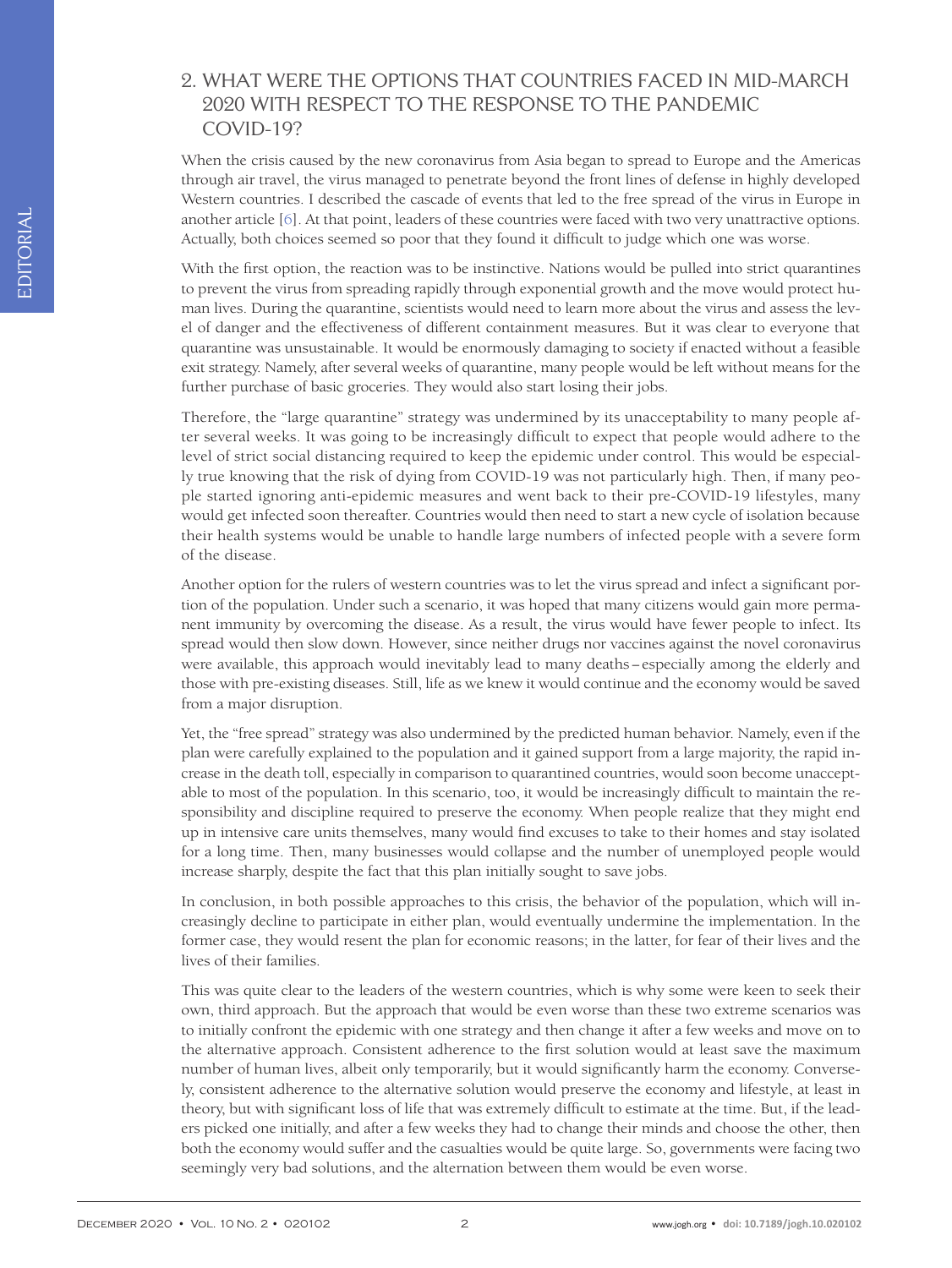# 2. WHAT WERE THE OPTIONS THAT COUNTRIES FACED IN MID-MARCH 2020 WITH RESPECT TO THE RESPONSE TO THE PANDEMIC COVID-19?

When the crisis caused by the new coronavirus from Asia began to spread to Europe and the Americas through air travel, the virus managed to penetrate beyond the front lines of defense in highly developed Western countries. I described the cascade of events that led to the free spread of the virus in Europe in another article [[6](#page-16-5)]. At that point, leaders of these countries were faced with two very unattractive options. Actually, both choices seemed so poor that they found it difficult to judge which one was worse.

With the first option, the reaction was to be instinctive. Nations would be pulled into strict quarantines to prevent the virus from spreading rapidly through exponential growth and the move would protect human lives. During the quarantine, scientists would need to learn more about the virus and assess the level of danger and the effectiveness of different containment measures. But it was clear to everyone that quarantine was unsustainable. It would be enormously damaging to society if enacted without a feasible exit strategy. Namely, after several weeks of quarantine, many people would be left without means for the further purchase of basic groceries. They would also start losing their jobs.

Therefore, the "large quarantine" strategy was undermined by its unacceptability to many people after several weeks. It was going to be increasingly difficult to expect that people would adhere to the level of strict social distancing required to keep the epidemic under control. This would be especially true knowing that the risk of dying from COVID-19 was not particularly high. Then, if many people started ignoring anti-epidemic measures and went back to their pre-COVID-19 lifestyles, many would get infected soon thereafter. Countries would then need to start a new cycle of isolation because their health systems would be unable to handle large numbers of infected people with a severe form of the disease.

Another option for the rulers of western countries was to let the virus spread and infect a significant portion of the population. Under such a scenario, it was hoped that many citizens would gain more permanent immunity by overcoming the disease. As a result, the virus would have fewer people to infect. Its spread would then slow down. However, since neither drugs nor vaccines against the novel coronavirus were available, this approach would inevitably lead to many deaths−especially among the elderly and those with pre-existing diseases. Still, life as we knew it would continue and the economy would be saved from a major disruption.

Yet, the "free spread" strategy was also undermined by the predicted human behavior. Namely, even if the plan were carefully explained to the population and it gained support from a large majority, the rapid increase in the death toll, especially in comparison to quarantined countries, would soon become unacceptable to most of the population. In this scenario, too, it would be increasingly difficult to maintain the responsibility and discipline required to preserve the economy. When people realize that they might end up in intensive care units themselves, many would find excuses to take to their homes and stay isolated for a long time. Then, many businesses would collapse and the number of unemployed people would increase sharply, despite the fact that this plan initially sought to save jobs.

In conclusion, in both possible approaches to this crisis, the behavior of the population, which will increasingly decline to participate in either plan, would eventually undermine the implementation. In the former case, they would resent the plan for economic reasons; in the latter, for fear of their lives and the lives of their families.

This was quite clear to the leaders of the western countries, which is why some were keen to seek their own, third approach. But the approach that would be even worse than these two extreme scenarios was to initially confront the epidemic with one strategy and then change it after a few weeks and move on to the alternative approach. Consistent adherence to the first solution would at least save the maximum number of human lives, albeit only temporarily, but it would significantly harm the economy. Conversely, consistent adherence to the alternative solution would preserve the economy and lifestyle, at least in theory, but with significant loss of life that was extremely difficult to estimate at the time. But, if the leaders picked one initially, and after a few weeks they had to change their minds and choose the other, then both the economy would suffer and the casualties would be quite large. So, governments were facing two seemingly very bad solutions, and the alternation between them would be even worse.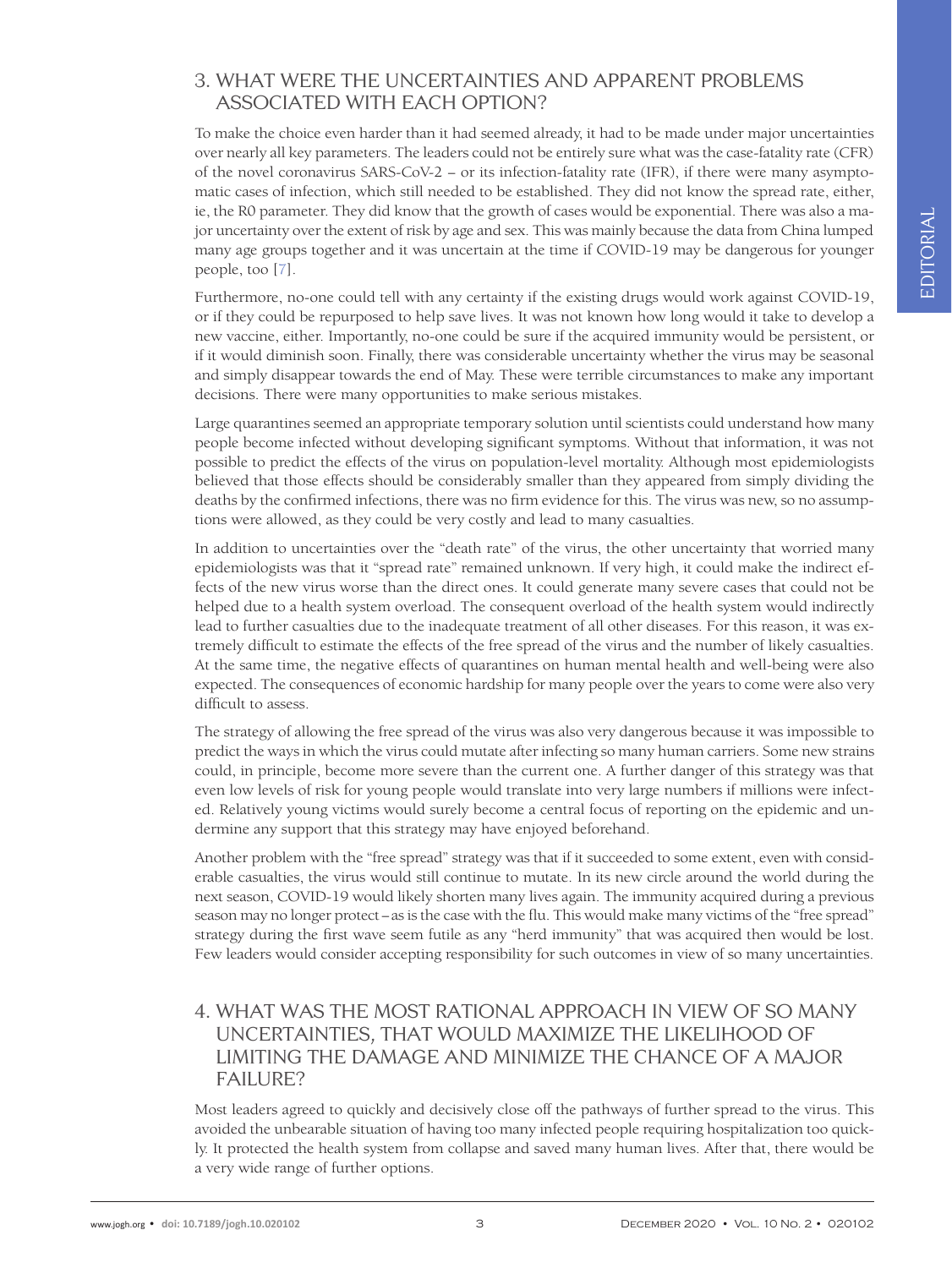# 3. WHAT WERE THE UNCERTAINTIES AND APPARENT PROBLEMS ASSOCIATED WITH EACH OPTION?

To make the choice even harder than it had seemed already, it had to be made under major uncertainties over nearly all key parameters. The leaders could not be entirely sure what was the case-fatality rate (CFR) of the novel coronavirus SARS-CoV-2 − or its infection-fatality rate (IFR), if there were many asymptomatic cases of infection, which still needed to be established. They did not know the spread rate, either, ie, the R0 parameter. They did know that the growth of cases would be exponential. There was also a major uncertainty over the extent of risk by age and sex. This was mainly because the data from China lumped many age groups together and it was uncertain at the time if COVID-19 may be dangerous for younger people, too [[7](#page-16-6)].

Furthermore, no-one could tell with any certainty if the existing drugs would work against COVID-19, or if they could be repurposed to help save lives. It was not known how long would it take to develop a new vaccine, either. Importantly, no-one could be sure if the acquired immunity would be persistent, or if it would diminish soon. Finally, there was considerable uncertainty whether the virus may be seasonal and simply disappear towards the end of May. These were terrible circumstances to make any important decisions. There were many opportunities to make serious mistakes.

Large quarantines seemed an appropriate temporary solution until scientists could understand how many people become infected without developing significant symptoms. Without that information, it was not possible to predict the effects of the virus on population-level mortality. Although most epidemiologists believed that those effects should be considerably smaller than they appeared from simply dividing the deaths by the confirmed infections, there was no firm evidence for this. The virus was new, so no assumptions were allowed, as they could be very costly and lead to many casualties.

In addition to uncertainties over the "death rate" of the virus, the other uncertainty that worried many epidemiologists was that it "spread rate" remained unknown. If very high, it could make the indirect effects of the new virus worse than the direct ones. It could generate many severe cases that could not be helped due to a health system overload. The consequent overload of the health system would indirectly lead to further casualties due to the inadequate treatment of all other diseases. For this reason, it was extremely difficult to estimate the effects of the free spread of the virus and the number of likely casualties. At the same time, the negative effects of quarantines on human mental health and well-being were also expected. The consequences of economic hardship for many people over the years to come were also very difficult to assess.

The strategy of allowing the free spread of the virus was also very dangerous because it was impossible to predict the ways in which the virus could mutate after infecting so many human carriers. Some new strains could, in principle, become more severe than the current one. A further danger of this strategy was that even low levels of risk for young people would translate into very large numbers if millions were infected. Relatively young victims would surely become a central focus of reporting on the epidemic and undermine any support that this strategy may have enjoyed beforehand.

Another problem with the "free spread" strategy was that if it succeeded to some extent, even with considerable casualties, the virus would still continue to mutate. In its new circle around the world during the next season, COVID-19 would likely shorten many lives again. The immunity acquired during a previous season may no longer protect−as is the case with the flu. This would make many victims of the "free spread" strategy during the first wave seem futile as any "herd immunity" that was acquired then would be lost. Few leaders would consider accepting responsibility for such outcomes in view of so many uncertainties.

# 4. WHAT WAS THE MOST RATIONAL APPROACH IN VIEW OF SO MANY UNCERTAINTIES, THAT WOULD MAXIMIZE THE LIKELIHOOD OF LIMITING THE DAMAGE AND MINIMIZE THE CHANCE OF A MAJOR FAILURE?

Most leaders agreed to quickly and decisively close off the pathways of further spread to the virus. This avoided the unbearable situation of having too many infected people requiring hospitalization too quickly. It protected the health system from collapse and saved many human lives. After that, there would be a very wide range of further options.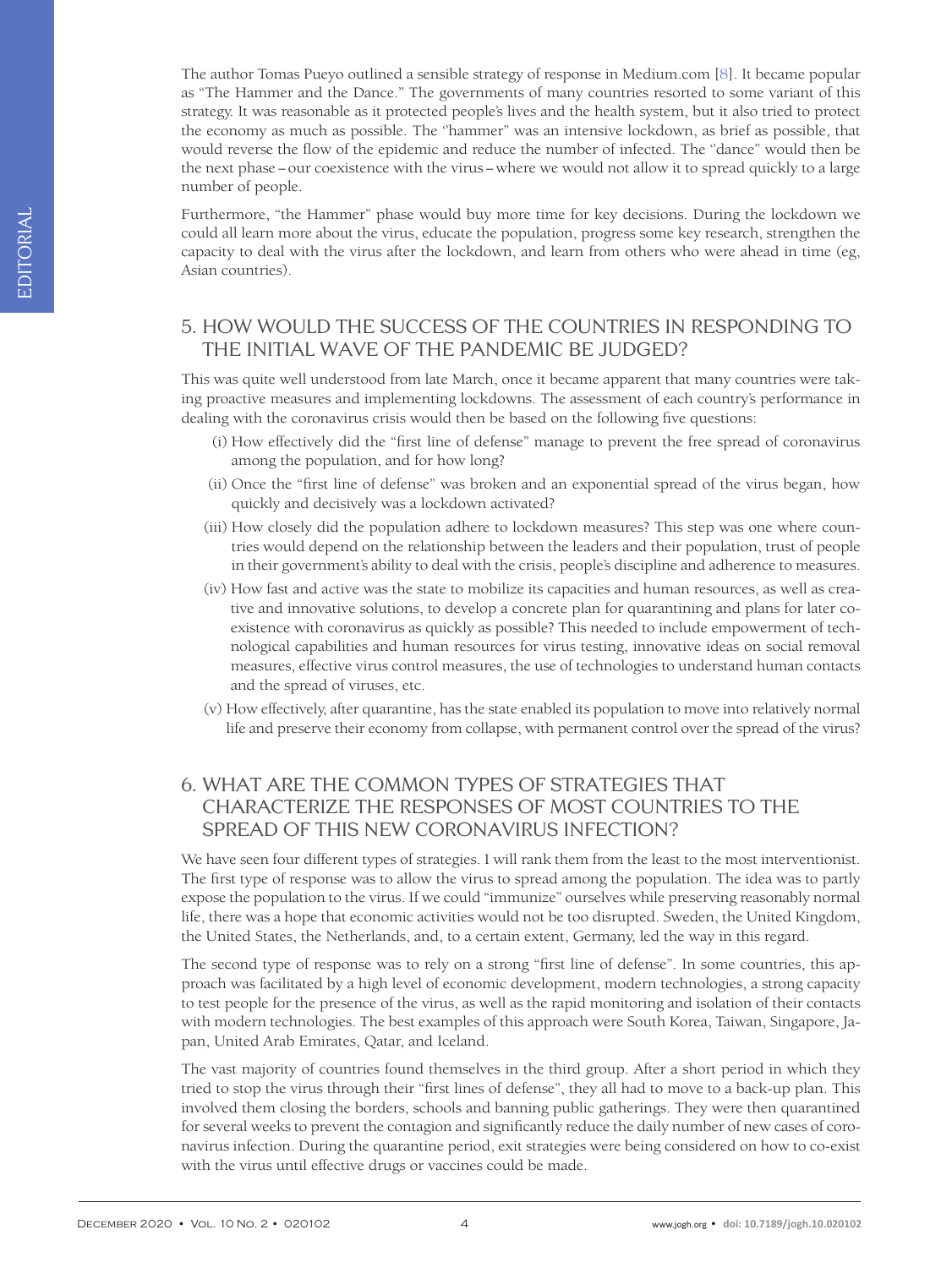The author Tomas Pueyo outlined a sensible strategy of response in Medium.com [[8](#page-16-7)]. It became popular as "The Hammer and the Dance." The governments of many countries resorted to some variant of this strategy. It was reasonable as it protected people's lives and the health system, but it also tried to protect the economy as much as possible. The ''hammer" was an intensive lockdown, as brief as possible, that would reverse the flow of the epidemic and reduce the number of infected. The ''dance" would then be the next phase−our coexistence with the virus−where we would not allow it to spread quickly to a large number of people.

Furthermore, "the Hammer" phase would buy more time for key decisions. During the lockdown we could all learn more about the virus, educate the population, progress some key research, strengthen the capacity to deal with the virus after the lockdown, and learn from others who were ahead in time (eg, Asian countries).

#### 5. HOW WOULD THE SUCCESS OF THE COUNTRIES IN RESPONDING TO THE INITIAL WAVE OF THE PANDEMIC BE JUDGED?

This was quite well understood from late March, once it became apparent that many countries were taking proactive measures and implementing lockdowns. The assessment of each country's performance in dealing with the coronavirus crisis would then be based on the following five questions:

- (i) How effectively did the "first line of defense" manage to prevent the free spread of coronavirus among the population, and for how long?
- (ii) Once the "first line of defense" was broken and an exponential spread of the virus began, how quickly and decisively was a lockdown activated?
- (iii) How closely did the population adhere to lockdown measures? This step was one where countries would depend on the relationship between the leaders and their population, trust of people in their government's ability to deal with the crisis, people's discipline and adherence to measures.
- (iv) How fast and active was the state to mobilize its capacities and human resources, as well as creative and innovative solutions, to develop a concrete plan for quarantining and plans for later coexistence with coronavirus as quickly as possible? This needed to include empowerment of technological capabilities and human resources for virus testing, innovative ideas on social removal measures, effective virus control measures, the use of technologies to understand human contacts and the spread of viruses, etc.
- (v) How effectively, after quarantine, has the state enabled its population to move into relatively normal life and preserve their economy from collapse, with permanent control over the spread of the virus?

# 6. WHAT ARE THE COMMON TYPES OF STRATEGIES THAT CHARACTERIZE THE RESPONSES OF MOST COUNTRIES TO THE SPREAD OF THIS NEW CORONAVIRUS INFECTION?

We have seen four different types of strategies. I will rank them from the least to the most interventionist. The first type of response was to allow the virus to spread among the population. The idea was to partly expose the population to the virus. If we could "immunize" ourselves while preserving reasonably normal life, there was a hope that economic activities would not be too disrupted. Sweden, the United Kingdom, the United States, the Netherlands, and, to a certain extent, Germany, led the way in this regard.

The second type of response was to rely on a strong "first line of defense". In some countries, this approach was facilitated by a high level of economic development, modern technologies, a strong capacity to test people for the presence of the virus, as well as the rapid monitoring and isolation of their contacts with modern technologies. The best examples of this approach were South Korea, Taiwan, Singapore, Japan, United Arab Emirates, Qatar, and Iceland.

The vast majority of countries found themselves in the third group. After a short period in which they tried to stop the virus through their "first lines of defense", they all had to move to a back-up plan. This involved them closing the borders, schools and banning public gatherings. They were then quarantined for several weeks to prevent the contagion and significantly reduce the daily number of new cases of coronavirus infection. During the quarantine period, exit strategies were being considered on how to co-exist with the virus until effective drugs or vaccines could be made.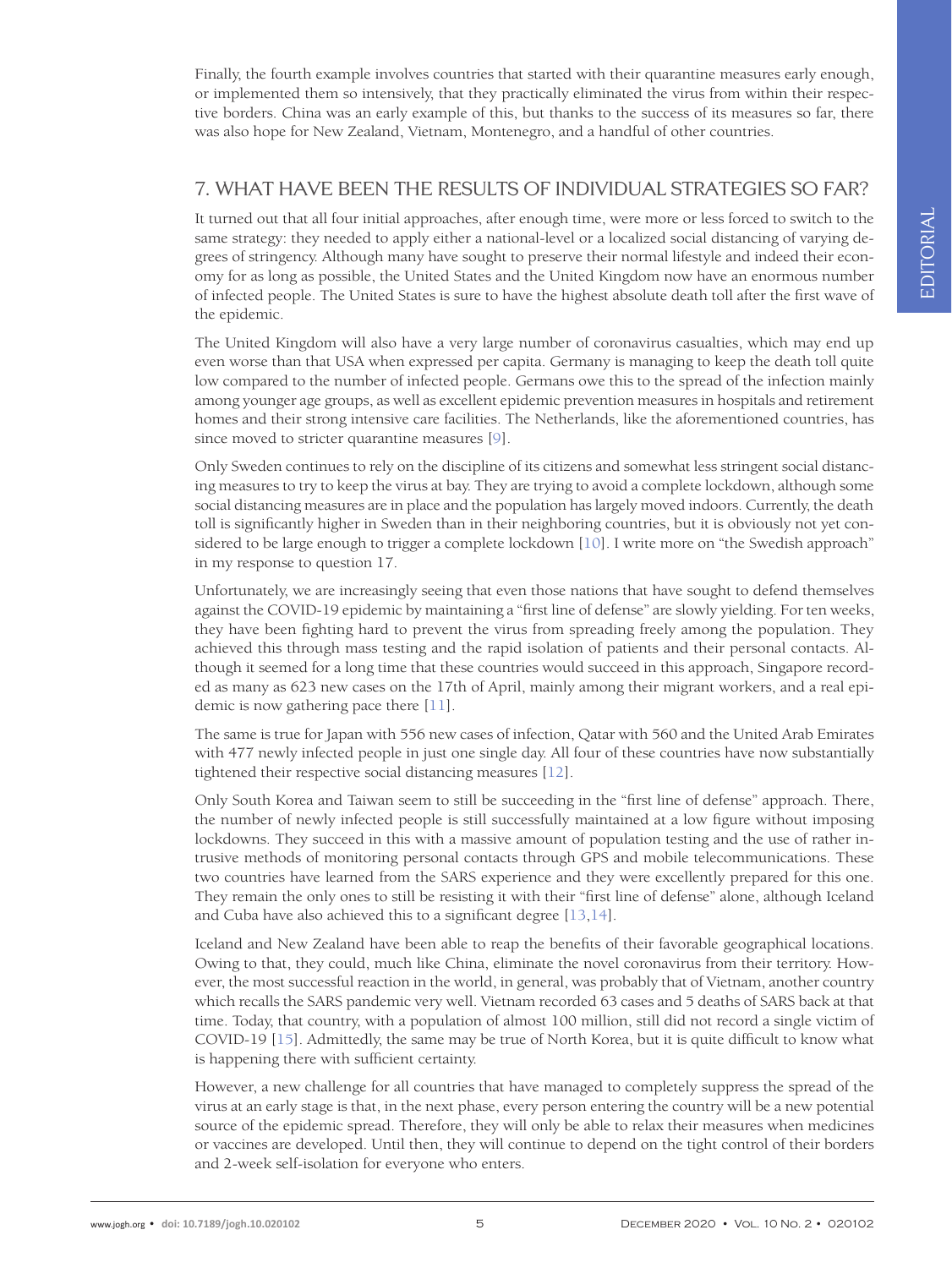Finally, the fourth example involves countries that started with their quarantine measures early enough, or implemented them so intensively, that they practically eliminated the virus from within their respective borders. China was an early example of this, but thanks to the success of its measures so far, there was also hope for New Zealand, Vietnam, Montenegro, and a handful of other countries.

## 7. WHAT HAVE BEEN THE RESULTS OF INDIVIDUAL STRATEGIES SO FAR?

It turned out that all four initial approaches, after enough time, were more or less forced to switch to the same strategy: they needed to apply either a national-level or a localized social distancing of varying degrees of stringency. Although many have sought to preserve their normal lifestyle and indeed their economy for as long as possible, the United States and the United Kingdom now have an enormous number of infected people. The United States is sure to have the highest absolute death toll after the first wave of the epidemic.

The United Kingdom will also have a very large number of coronavirus casualties, which may end up even worse than that USA when expressed per capita. Germany is managing to keep the death toll quite low compared to the number of infected people. Germans owe this to the spread of the infection mainly among younger age groups, as well as excellent epidemic prevention measures in hospitals and retirement homes and their strong intensive care facilities. The Netherlands, like the aforementioned countries, has since moved to stricter quarantine measures [\[9](#page-16-8)].

Only Sweden continues to rely on the discipline of its citizens and somewhat less stringent social distancing measures to try to keep the virus at bay. They are trying to avoid a complete lockdown, although some social distancing measures are in place and the population has largely moved indoors. Currently, the death toll is significantly higher in Sweden than in their neighboring countries, but it is obviously not yet considered to be large enough to trigger a complete lockdown [\[10\]](#page-16-9). I write more on "the Swedish approach" in my response to question 17.

Unfortunately, we are increasingly seeing that even those nations that have sought to defend themselves against the COVID-19 epidemic by maintaining a "first line of defense" are slowly yielding. For ten weeks, they have been fighting hard to prevent the virus from spreading freely among the population. They achieved this through mass testing and the rapid isolation of patients and their personal contacts. Although it seemed for a long time that these countries would succeed in this approach, Singapore recorded as many as 623 new cases on the 17th of April, mainly among their migrant workers, and a real epidemic is now gathering pace there [\[11](#page-16-10)].

The same is true for Japan with 556 new cases of infection, Qatar with 560 and the United Arab Emirates with 477 newly infected people in just one single day. All four of these countries have now substantially tightened their respective social distancing measures [\[12](#page-16-11)].

Only South Korea and Taiwan seem to still be succeeding in the "first line of defense" approach. There, the number of newly infected people is still successfully maintained at a low figure without imposing lockdowns. They succeed in this with a massive amount of population testing and the use of rather intrusive methods of monitoring personal contacts through GPS and mobile telecommunications. These two countries have learned from the SARS experience and they were excellently prepared for this one. They remain the only ones to still be resisting it with their "first line of defense" alone, although Iceland and Cuba have also achieved this to a significant degree [\[13](#page-16-12),[14](#page-16-13)].

Iceland and New Zealand have been able to reap the benefits of their favorable geographical locations. Owing to that, they could, much like China, eliminate the novel coronavirus from their territory. However, the most successful reaction in the world, in general, was probably that of Vietnam, another country which recalls the SARS pandemic very well. Vietnam recorded 63 cases and 5 deaths of SARS back at that time. Today, that country, with a population of almost 100 million, still did not record a single victim of COVID-19 [\[15\]](#page-16-14). Admittedly, the same may be true of North Korea, but it is quite difficult to know what is happening there with sufficient certainty.

However, a new challenge for all countries that have managed to completely suppress the spread of the virus at an early stage is that, in the next phase, every person entering the country will be a new potential source of the epidemic spread. Therefore, they will only be able to relax their measures when medicines or vaccines are developed. Until then, they will continue to depend on the tight control of their borders and 2-week self-isolation for everyone who enters.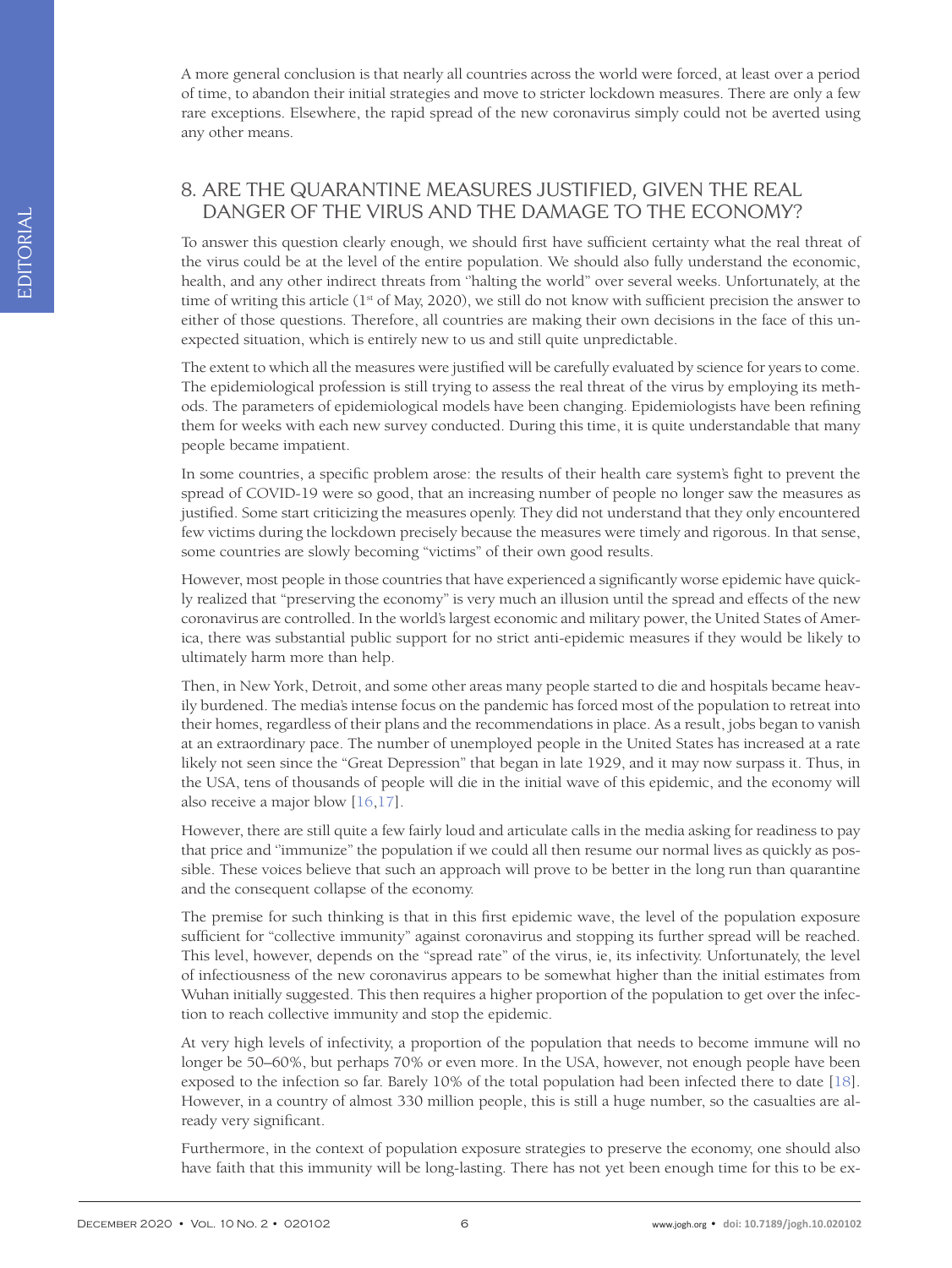A more general conclusion is that nearly all countries across the world were forced, at least over a period of time, to abandon their initial strategies and move to stricter lockdown measures. There are only a few rare exceptions. Elsewhere, the rapid spread of the new coronavirus simply could not be averted using any other means.

# 8. ARE THE QUARANTINE MEASURES JUSTIFIED, GIVEN THE REAL DANGER OF THE VIRUS AND THE DAMAGE TO THE ECONOMY?

To answer this question clearly enough, we should first have sufficient certainty what the real threat of the virus could be at the level of the entire population. We should also fully understand the economic, health, and any other indirect threats from ''halting the world" over several weeks. Unfortunately, at the time of writing this article ( $1<sup>st</sup>$  of May, 2020), we still do not know with sufficient precision the answer to either of those questions. Therefore, all countries are making their own decisions in the face of this unexpected situation, which is entirely new to us and still quite unpredictable.

The extent to which all the measures were justified will be carefully evaluated by science for years to come. The epidemiological profession is still trying to assess the real threat of the virus by employing its methods. The parameters of epidemiological models have been changing. Epidemiologists have been refining them for weeks with each new survey conducted. During this time, it is quite understandable that many people became impatient.

In some countries, a specific problem arose: the results of their health care system's fight to prevent the spread of COVID-19 were so good, that an increasing number of people no longer saw the measures as justified. Some start criticizing the measures openly. They did not understand that they only encountered few victims during the lockdown precisely because the measures were timely and rigorous. In that sense, some countries are slowly becoming "victims" of their own good results.

However, most people in those countries that have experienced a significantly worse epidemic have quickly realized that "preserving the economy" is very much an illusion until the spread and effects of the new coronavirus are controlled. In the world's largest economic and military power, the United States of America, there was substantial public support for no strict anti-epidemic measures if they would be likely to ultimately harm more than help.

Then, in New York, Detroit, and some other areas many people started to die and hospitals became heavily burdened. The media's intense focus on the pandemic has forced most of the population to retreat into their homes, regardless of their plans and the recommendations in place. As a result, jobs began to vanish at an extraordinary pace. The number of unemployed people in the United States has increased at a rate likely not seen since the "Great Depression" that began in late 1929, and it may now surpass it. Thus, in the USA, tens of thousands of people will die in the initial wave of this epidemic, and the economy will also receive a major blow [[16](#page-16-15),[17](#page-16-16)].

However, there are still quite a few fairly loud and articulate calls in the media asking for readiness to pay that price and ''immunize" the population if we could all then resume our normal lives as quickly as possible. These voices believe that such an approach will prove to be better in the long run than quarantine and the consequent collapse of the economy.

The premise for such thinking is that in this first epidemic wave, the level of the population exposure sufficient for "collective immunity" against coronavirus and stopping its further spread will be reached. This level, however, depends on the "spread rate" of the virus, ie, its infectivity. Unfortunately, the level of infectiousness of the new coronavirus appears to be somewhat higher than the initial estimates from Wuhan initially suggested. This then requires a higher proportion of the population to get over the infection to reach collective immunity and stop the epidemic.

At very high levels of infectivity, a proportion of the population that needs to become immune will no longer be 50–60%, but perhaps 70% or even more. In the USA, however, not enough people have been exposed to the infection so far. Barely 10% of the total population had been infected there to date [[18](#page-16-17)]. However, in a country of almost 330 million people, this is still a huge number, so the casualties are already very significant.

Furthermore, in the context of population exposure strategies to preserve the economy, one should also have faith that this immunity will be long-lasting. There has not yet been enough time for this to be ex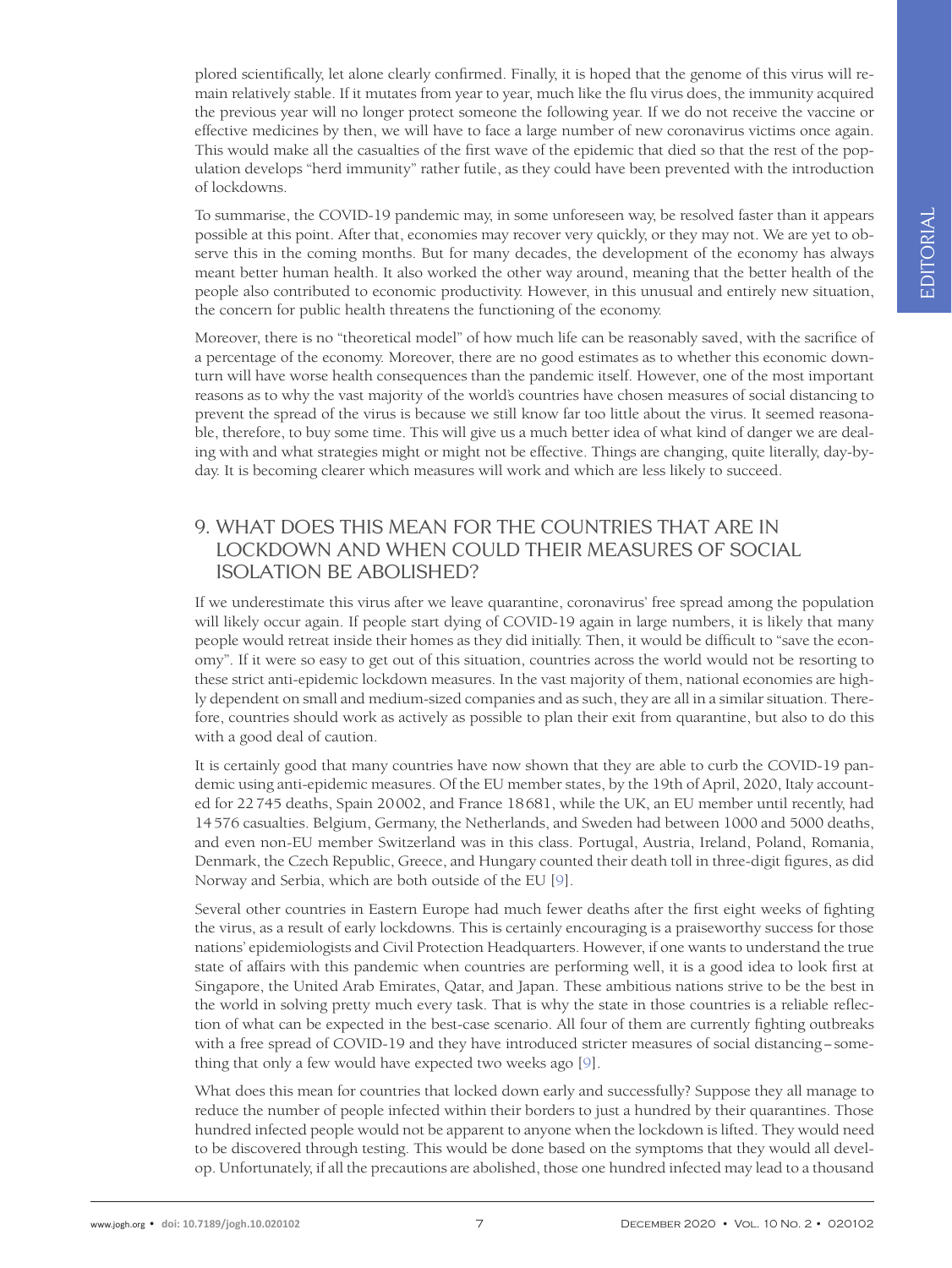plored scientifically, let alone clearly confirmed. Finally, it is hoped that the genome of this virus will remain relatively stable. If it mutates from year to year, much like the flu virus does, the immunity acquired the previous year will no longer protect someone the following year. If we do not receive the vaccine or effective medicines by then, we will have to face a large number of new coronavirus victims once again. This would make all the casualties of the first wave of the epidemic that died so that the rest of the population develops "herd immunity" rather futile, as they could have been prevented with the introduction of lockdowns.

To summarise, the COVID-19 pandemic may, in some unforeseen way, be resolved faster than it appears possible at this point. After that, economies may recover very quickly, or they may not. We are yet to observe this in the coming months. But for many decades, the development of the economy has always meant better human health. It also worked the other way around, meaning that the better health of the people also contributed to economic productivity. However, in this unusual and entirely new situation, the concern for public health threatens the functioning of the economy.

Moreover, there is no "theoretical model" of how much life can be reasonably saved, with the sacrifice of a percentage of the economy. Moreover, there are no good estimates as to whether this economic downturn will have worse health consequences than the pandemic itself. However, one of the most important reasons as to why the vast majority of the world's countries have chosen measures of social distancing to prevent the spread of the virus is because we still know far too little about the virus. It seemed reasonable, therefore, to buy some time. This will give us a much better idea of what kind of danger we are dealing with and what strategies might or might not be effective. Things are changing, quite literally, day-byday. It is becoming clearer which measures will work and which are less likely to succeed.

#### 9. WHAT DOES THIS MEAN FOR THE COUNTRIES THAT ARE IN LOCKDOWN AND WHEN COULD THEIR MEASURES OF SOCIAL ISOLATION BE ABOLISHED?

If we underestimate this virus after we leave quarantine, coronavirus' free spread among the population will likely occur again. If people start dying of COVID-19 again in large numbers, it is likely that many people would retreat inside their homes as they did initially. Then, it would be difficult to "save the economy". If it were so easy to get out of this situation, countries across the world would not be resorting to these strict anti-epidemic lockdown measures. In the vast majority of them, national economies are highly dependent on small and medium-sized companies and as such, they are all in a similar situation. Therefore, countries should work as actively as possible to plan their exit from quarantine, but also to do this with a good deal of caution.

It is certainly good that many countries have now shown that they are able to curb the COVID-19 pandemic using anti-epidemic measures. Of the EU member states, by the 19th of April, 2020, Italy accounted for 22745 deaths, Spain 20002, and France 18681, while the UK, an EU member until recently, had 14576 casualties. Belgium, Germany, the Netherlands, and Sweden had between 1000 and 5000 deaths, and even non-EU member Switzerland was in this class. Portugal, Austria, Ireland, Poland, Romania, Denmark, the Czech Republic, Greece, and Hungary counted their death toll in three-digit figures, as did Norway and Serbia, which are both outside of the EU [[9](#page-16-8)].

Several other countries in Eastern Europe had much fewer deaths after the first eight weeks of fighting the virus, as a result of early lockdowns. This is certainly encouraging is a praiseworthy success for those nations' epidemiologists and Civil Protection Headquarters. However, if one wants to understand the true state of affairs with this pandemic when countries are performing well, it is a good idea to look first at Singapore, the United Arab Emirates, Qatar, and Japan. These ambitious nations strive to be the best in the world in solving pretty much every task. That is why the state in those countries is a reliable reflection of what can be expected in the best-case scenario. All four of them are currently fighting outbreaks with a free spread of COVID-19 and they have introduced stricter measures of social distancing−something that only a few would have expected two weeks ago [[9](#page-16-8)].

What does this mean for countries that locked down early and successfully? Suppose they all manage to reduce the number of people infected within their borders to just a hundred by their quarantines. Those hundred infected people would not be apparent to anyone when the lockdown is lifted. They would need to be discovered through testing. This would be done based on the symptoms that they would all develop. Unfortunately, if all the precautions are abolished, those one hundred infected may lead to a thousand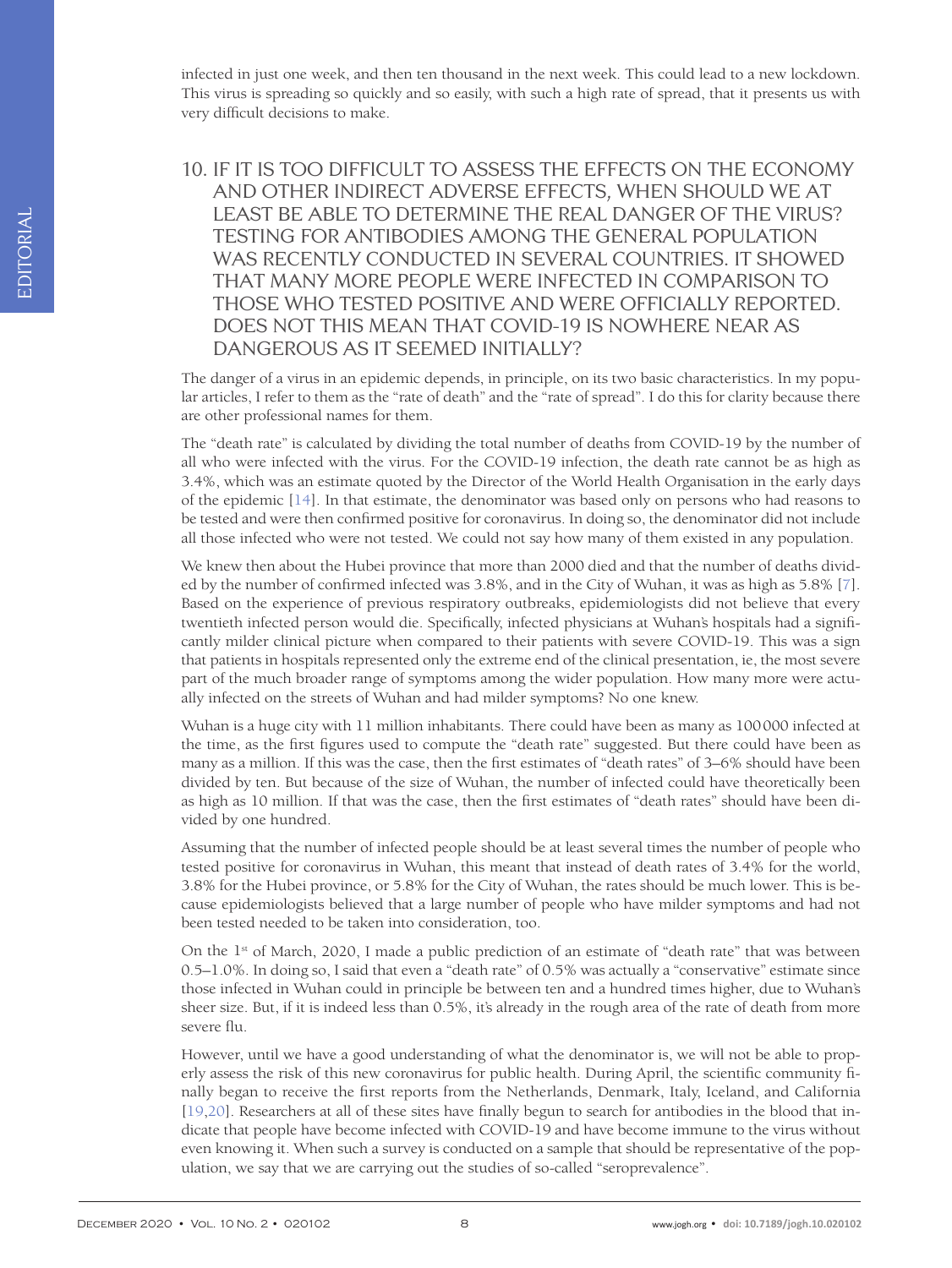infected in just one week, and then ten thousand in the next week. This could lead to a new lockdown. This virus is spreading so quickly and so easily, with such a high rate of spread, that it presents us with very difficult decisions to make.

#### 10. IF IT IS TOO DIFFICULT TO ASSESS THE EFFECTS ON THE ECONOMY AND OTHER INDIRECT ADVERSE EFFECTS, WHEN SHOULD WE AT LEAST BE ABLE TO DETERMINE THE REAL DANGER OF THE VIRUS? TESTING FOR ANTIBODIES AMONG THE GENERAL POPULATION WAS RECENTLY CONDUCTED IN SEVERAL COUNTRIES. IT SHOWED THAT MANY MORE PEOPLE WERE INFECTED IN COMPARISON TO THOSE WHO TESTED POSITIVE AND WERE OFFICIALLY REPORTED. DOES NOT THIS MEAN THAT COVID-19 IS NOWHERE NEAR AS DANGEROUS AS IT SEEMED INITIALLY?

The danger of a virus in an epidemic depends, in principle, on its two basic characteristics. In my popular articles, I refer to them as the "rate of death" and the "rate of spread". I do this for clarity because there are other professional names for them.

The "death rate" is calculated by dividing the total number of deaths from COVID-19 by the number of all who were infected with the virus. For the COVID-19 infection, the death rate cannot be as high as 3.4%, which was an estimate quoted by the Director of the World Health Organisation in the early days of the epidemic [[14](#page-16-13)]. In that estimate, the denominator was based only on persons who had reasons to be tested and were then confirmed positive for coronavirus. In doing so, the denominator did not include all those infected who were not tested. We could not say how many of them existed in any population.

We knew then about the Hubei province that more than 2000 died and that the number of deaths divided by the number of confirmed infected was 3.8%, and in the City of Wuhan, it was as high as 5.8% [[7](#page-16-6)]. Based on the experience of previous respiratory outbreaks, epidemiologists did not believe that every twentieth infected person would die. Specifically, infected physicians at Wuhan's hospitals had a significantly milder clinical picture when compared to their patients with severe COVID-19. This was a sign that patients in hospitals represented only the extreme end of the clinical presentation, ie, the most severe part of the much broader range of symptoms among the wider population. How many more were actually infected on the streets of Wuhan and had milder symptoms? No one knew.

Wuhan is a huge city with 11 million inhabitants. There could have been as many as 100000 infected at the time, as the first figures used to compute the "death rate" suggested. But there could have been as many as a million. If this was the case, then the first estimates of "death rates" of 3–6% should have been divided by ten. But because of the size of Wuhan, the number of infected could have theoretically been as high as 10 million. If that was the case, then the first estimates of "death rates" should have been divided by one hundred.

Assuming that the number of infected people should be at least several times the number of people who tested positive for coronavirus in Wuhan, this meant that instead of death rates of 3.4% for the world, 3.8% for the Hubei province, or 5.8% for the City of Wuhan, the rates should be much lower. This is because epidemiologists believed that a large number of people who have milder symptoms and had not been tested needed to be taken into consideration, too.

On the 1<sup>st</sup> of March, 2020, I made a public prediction of an estimate of "death rate" that was between 0.5–1.0%. In doing so, I said that even a "death rate" of 0.5% was actually a "conservative" estimate since those infected in Wuhan could in principle be between ten and a hundred times higher, due to Wuhan's sheer size. But, if it is indeed less than 0.5%, it's already in the rough area of the rate of death from more severe flu.

However, until we have a good understanding of what the denominator is, we will not be able to properly assess the risk of this new coronavirus for public health. During April, the scientific community finally began to receive the first reports from the Netherlands, Denmark, Italy, Iceland, and California [[19](#page-16-18)[,20](#page-17-0)]. Researchers at all of these sites have finally begun to search for antibodies in the blood that indicate that people have become infected with COVID-19 and have become immune to the virus without even knowing it. When such a survey is conducted on a sample that should be representative of the population, we say that we are carrying out the studies of so-called "seroprevalence".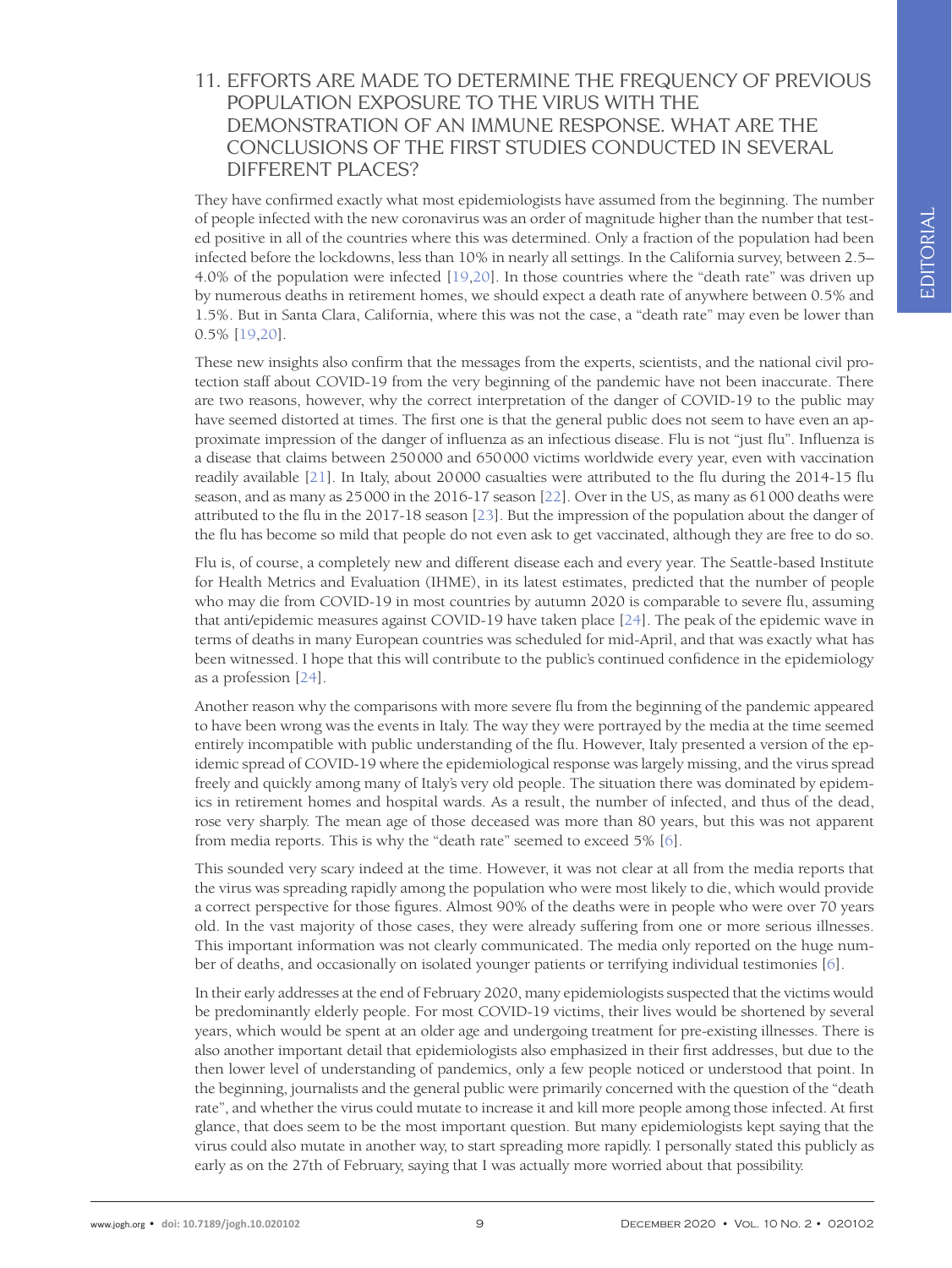### 11. EFFORTS ARE MADE TO DETERMINE THE FREQUENCY OF PREVIOUS POPULATION EXPOSURE TO THE VIRUS WITH THE DEMONSTRATION OF AN IMMUNE RESPONSE. WHAT ARE THE CONCLUSIONS OF THE FIRST STUDIES CONDUCTED IN SEVERAL DIFFERENT PLACES?

They have confirmed exactly what most epidemiologists have assumed from the beginning. The number of people infected with the new coronavirus was an order of magnitude higher than the number that tested positive in all of the countries where this was determined. Only a fraction of the population had been infected before the lockdowns, less than 10% in nearly all settings. In the California survey, between 2.5– 4.0% of the population were infected [[19](#page-16-18)[,20](#page-17-0)]. In those countries where the "death rate" was driven up by numerous deaths in retirement homes, we should expect a death rate of anywhere between 0.5% and 1.5%. But in Santa Clara, California, where this was not the case, a "death rate" may even be lower than 0.5% [\[19](#page-16-18),[20](#page-17-0)].

These new insights also confirm that the messages from the experts, scientists, and the national civil protection staff about COVID-19 from the very beginning of the pandemic have not been inaccurate. There are two reasons, however, why the correct interpretation of the danger of COVID-19 to the public may have seemed distorted at times. The first one is that the general public does not seem to have even an approximate impression of the danger of influenza as an infectious disease. Flu is not "just flu". Influenza is a disease that claims between 250000 and 650000 victims worldwide every year, even with vaccination readily available [[21](#page-17-1)]. In Italy, about 20000 casualties were attributed to the flu during the 2014-15 flu season, and as many as 25000 in the 2016-17 season [[22](#page-17-2)]. Over in the US, as many as 61000 deaths were attributed to the flu in the 2017-18 season [[23](#page-17-3)]. But the impression of the population about the danger of the flu has become so mild that people do not even ask to get vaccinated, although they are free to do so.

Flu is, of course, a completely new and different disease each and every year. The Seattle-based Institute for Health Metrics and Evaluation (IHME), in its latest estimates, predicted that the number of people who may die from COVID-19 in most countries by autumn 2020 is comparable to severe flu, assuming that anti/epidemic measures against COVID-19 have taken place [[24](#page-17-4)]. The peak of the epidemic wave in terms of deaths in many European countries was scheduled for mid-April, and that was exactly what has been witnessed. I hope that this will contribute to the public's continued confidence in the epidemiology as a profession [[24](#page-17-4)].

Another reason why the comparisons with more severe flu from the beginning of the pandemic appeared to have been wrong was the events in Italy. The way they were portrayed by the media at the time seemed entirely incompatible with public understanding of the flu. However, Italy presented a version of the epidemic spread of COVID-19 where the epidemiological response was largely missing, and the virus spread freely and quickly among many of Italy's very old people. The situation there was dominated by epidemics in retirement homes and hospital wards. As a result, the number of infected, and thus of the dead, rose very sharply. The mean age of those deceased was more than 80 years, but this was not apparent from media reports. This is why the "death rate" seemed to exceed 5% [[6](#page-16-5)].

This sounded very scary indeed at the time. However, it was not clear at all from the media reports that the virus was spreading rapidly among the population who were most likely to die, which would provide a correct perspective for those figures. Almost 90% of the deaths were in people who were over 70 years old. In the vast majority of those cases, they were already suffering from one or more serious illnesses. This important information was not clearly communicated. The media only reported on the huge number of deaths, and occasionally on isolated younger patients or terrifying individual testimonies [[6\]](#page-16-5).

In their early addresses at the end of February 2020, many epidemiologists suspected that the victims would be predominantly elderly people. For most COVID-19 victims, their lives would be shortened by several years, which would be spent at an older age and undergoing treatment for pre-existing illnesses. There is also another important detail that epidemiologists also emphasized in their first addresses, but due to the then lower level of understanding of pandemics, only a few people noticed or understood that point. In the beginning, journalists and the general public were primarily concerned with the question of the "death rate", and whether the virus could mutate to increase it and kill more people among those infected. At first glance, that does seem to be the most important question. But many epidemiologists kept saying that the virus could also mutate in another way, to start spreading more rapidly. I personally stated this publicly as early as on the 27th of February, saying that I was actually more worried about that possibility.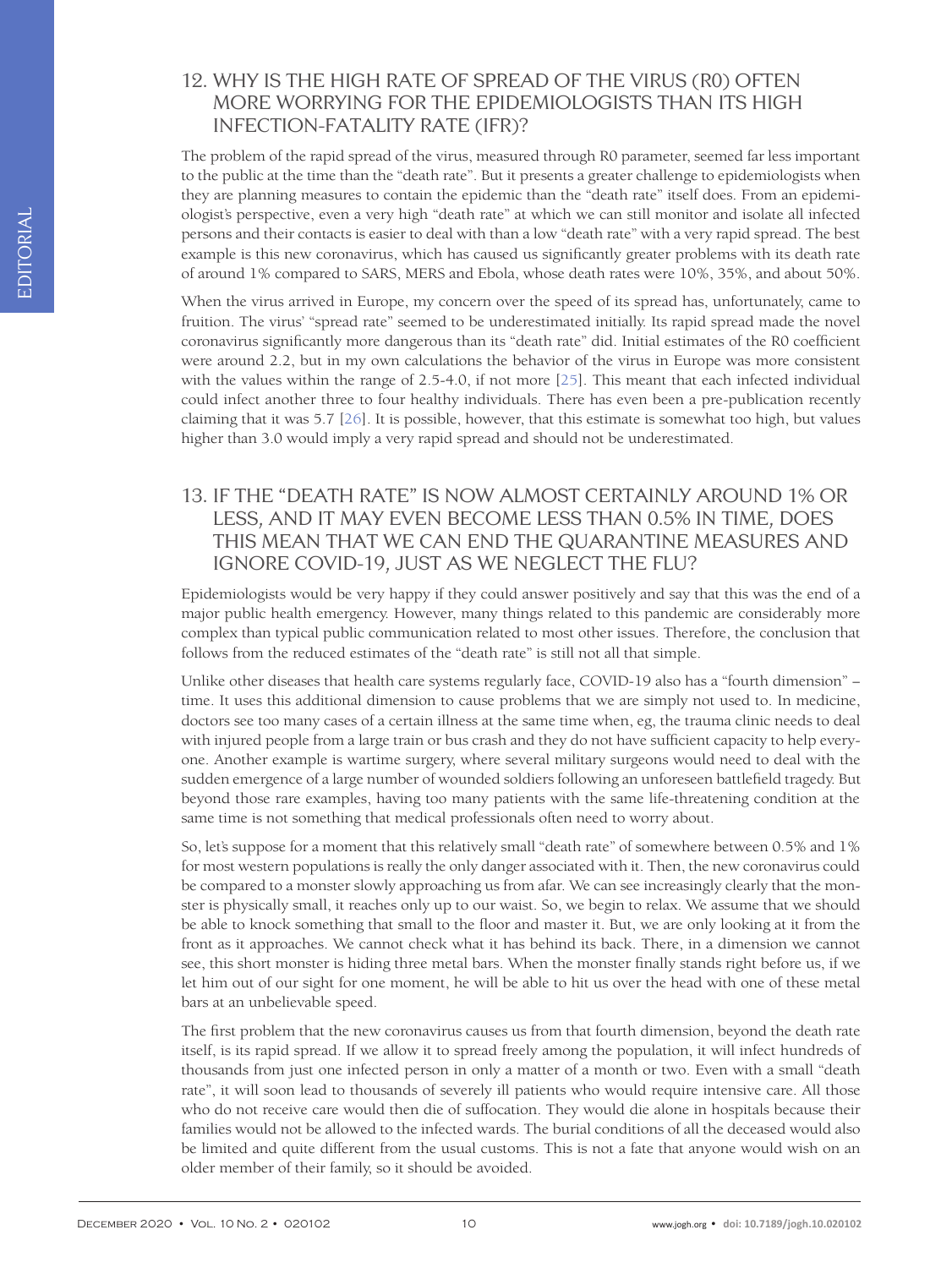## 12. WHY IS THE HIGH RATE OF SPREAD OF THE VIRUS (R0) OFTEN MORE WORRYING FOR THE EPIDEMIOLOGISTS THAN ITS HIGH INFECTION-FATALITY RATE (IFR)?

The problem of the rapid spread of the virus, measured through R0 parameter, seemed far less important to the public at the time than the "death rate". But it presents a greater challenge to epidemiologists when they are planning measures to contain the epidemic than the "death rate" itself does. From an epidemiologist's perspective, even a very high "death rate" at which we can still monitor and isolate all infected persons and their contacts is easier to deal with than a low "death rate" with a very rapid spread. The best example is this new coronavirus, which has caused us significantly greater problems with its death rate of around 1% compared to SARS, MERS and Ebola, whose death rates were 10%, 35%, and about 50%.

When the virus arrived in Europe, my concern over the speed of its spread has, unfortunately, came to fruition. The virus' "spread rate" seemed to be underestimated initially. Its rapid spread made the novel coronavirus significantly more dangerous than its "death rate" did. Initial estimates of the R0 coefficient were around 2.2, but in my own calculations the behavior of the virus in Europe was more consistent with the values within the range of 2.5-4.0, if not more [[25\]](#page-17-5). This meant that each infected individual could infect another three to four healthy individuals. There has even been a pre-publication recently claiming that it was 5.7 [[26](#page-17-6)]. It is possible, however, that this estimate is somewhat too high, but values higher than 3.0 would imply a very rapid spread and should not be underestimated.

#### 13. IF THE "DEATH RATE" IS NOW ALMOST CERTAINLY AROUND 1% OR LESS, AND IT MAY EVEN BECOME LESS THAN 0.5% IN TIME, DOES THIS MEAN THAT WE CAN END THE QUARANTINE MEASURES AND IGNORE COVID-19, JUST AS WE NEGLECT THE FLU?

Epidemiologists would be very happy if they could answer positively and say that this was the end of a major public health emergency. However, many things related to this pandemic are considerably more complex than typical public communication related to most other issues. Therefore, the conclusion that follows from the reduced estimates of the "death rate" is still not all that simple.

Unlike other diseases that health care systems regularly face, COVID-19 also has a "fourth dimension" − time. It uses this additional dimension to cause problems that we are simply not used to. In medicine, doctors see too many cases of a certain illness at the same time when, eg, the trauma clinic needs to deal with injured people from a large train or bus crash and they do not have sufficient capacity to help everyone. Another example is wartime surgery, where several military surgeons would need to deal with the sudden emergence of a large number of wounded soldiers following an unforeseen battlefield tragedy. But beyond those rare examples, having too many patients with the same life-threatening condition at the same time is not something that medical professionals often need to worry about.

So, let's suppose for a moment that this relatively small "death rate" of somewhere between 0.5% and 1% for most western populations is really the only danger associated with it. Then, the new coronavirus could be compared to a monster slowly approaching us from afar. We can see increasingly clearly that the monster is physically small, it reaches only up to our waist. So, we begin to relax. We assume that we should be able to knock something that small to the floor and master it. But, we are only looking at it from the front as it approaches. We cannot check what it has behind its back. There, in a dimension we cannot see, this short monster is hiding three metal bars. When the monster finally stands right before us, if we let him out of our sight for one moment, he will be able to hit us over the head with one of these metal bars at an unbelievable speed.

The first problem that the new coronavirus causes us from that fourth dimension, beyond the death rate itself, is its rapid spread. If we allow it to spread freely among the population, it will infect hundreds of thousands from just one infected person in only a matter of a month or two. Even with a small "death rate", it will soon lead to thousands of severely ill patients who would require intensive care. All those who do not receive care would then die of suffocation. They would die alone in hospitals because their families would not be allowed to the infected wards. The burial conditions of all the deceased would also be limited and quite different from the usual customs. This is not a fate that anyone would wish on an older member of their family, so it should be avoided.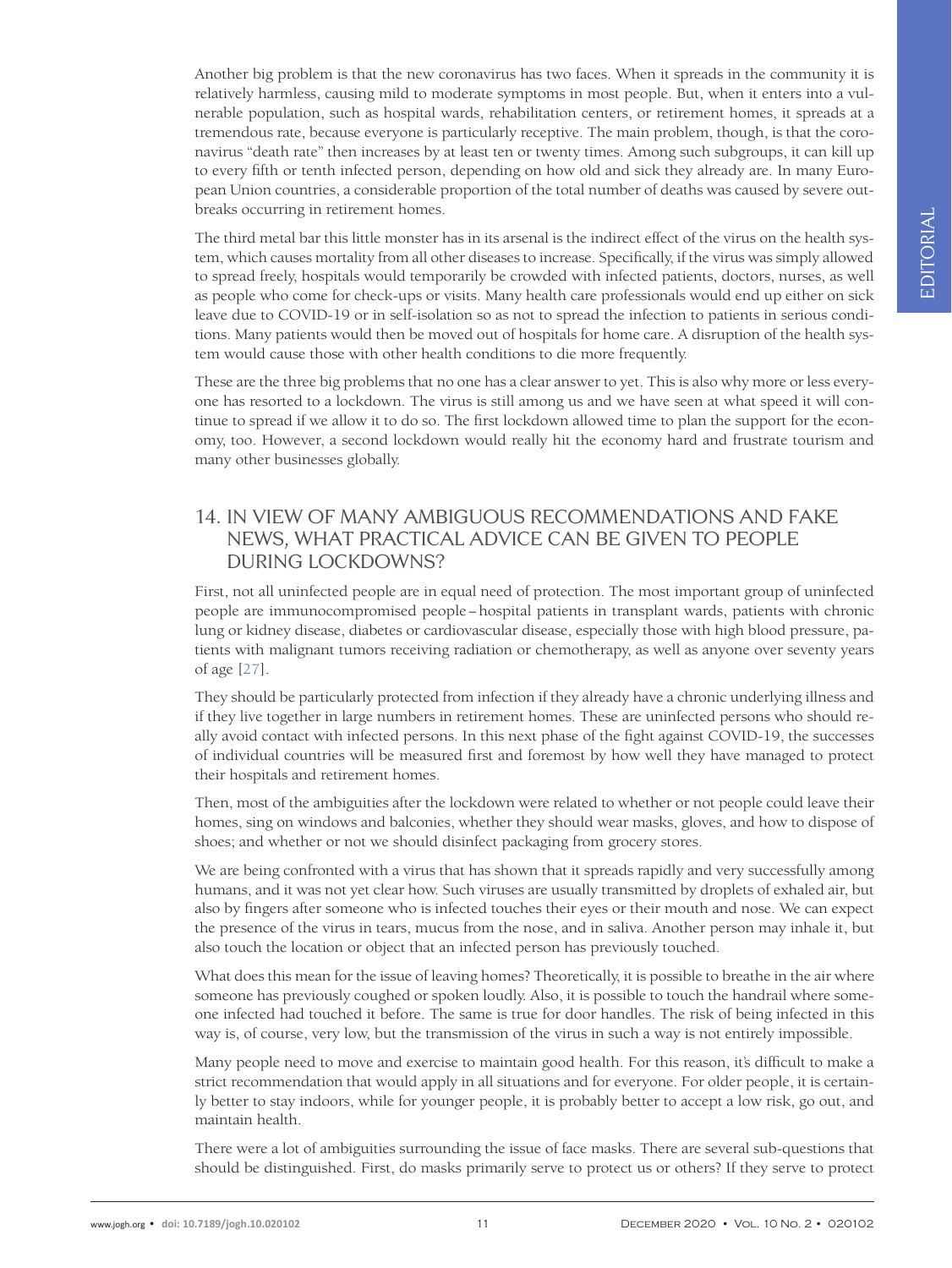Another big problem is that the new coronavirus has two faces. When it spreads in the community it is relatively harmless, causing mild to moderate symptoms in most people. But, when it enters into a vulnerable population, such as hospital wards, rehabilitation centers, or retirement homes, it spreads at a tremendous rate, because everyone is particularly receptive. The main problem, though, is that the coronavirus "death rate" then increases by at least ten or twenty times. Among such subgroups, it can kill up to every fifth or tenth infected person, depending on how old and sick they already are. In many European Union countries, a considerable proportion of the total number of deaths was caused by severe outbreaks occurring in retirement homes.

The third metal bar this little monster has in its arsenal is the indirect effect of the virus on the health system, which causes mortality from all other diseases to increase. Specifically, if the virus was simply allowed to spread freely, hospitals would temporarily be crowded with infected patients, doctors, nurses, as well as people who come for check-ups or visits. Many health care professionals would end up either on sick leave due to COVID-19 or in self-isolation so as not to spread the infection to patients in serious conditions. Many patients would then be moved out of hospitals for home care. A disruption of the health system would cause those with other health conditions to die more frequently.

These are the three big problems that no one has a clear answer to yet. This is also why more or less everyone has resorted to a lockdown. The virus is still among us and we have seen at what speed it will continue to spread if we allow it to do so. The first lockdown allowed time to plan the support for the economy, too. However, a second lockdown would really hit the economy hard and frustrate tourism and many other businesses globally.

# 14. IN VIEW OF MANY AMBIGUOUS RECOMMENDATIONS AND FAKE NEWS, WHAT PRACTICAL ADVICE CAN BE GIVEN TO PEOPLE DURING LOCKDOWNS?

First, not all uninfected people are in equal need of protection. The most important group of uninfected people are immunocompromised people−hospital patients in transplant wards, patients with chronic lung or kidney disease, diabetes or cardiovascular disease, especially those with high blood pressure, patients with malignant tumors receiving radiation or chemotherapy, as well as anyone over seventy years of age [[27\]](#page-17-7).

They should be particularly protected from infection if they already have a chronic underlying illness and if they live together in large numbers in retirement homes. These are uninfected persons who should really avoid contact with infected persons. In this next phase of the fight against COVID-19, the successes of individual countries will be measured first and foremost by how well they have managed to protect their hospitals and retirement homes.

Then, most of the ambiguities after the lockdown were related to whether or not people could leave their homes, sing on windows and balconies, whether they should wear masks, gloves, and how to dispose of shoes; and whether or not we should disinfect packaging from grocery stores.

We are being confronted with a virus that has shown that it spreads rapidly and very successfully among humans, and it was not yet clear how. Such viruses are usually transmitted by droplets of exhaled air, but also by fingers after someone who is infected touches their eyes or their mouth and nose. We can expect the presence of the virus in tears, mucus from the nose, and in saliva. Another person may inhale it, but also touch the location or object that an infected person has previously touched.

What does this mean for the issue of leaving homes? Theoretically, it is possible to breathe in the air where someone has previously coughed or spoken loudly. Also, it is possible to touch the handrail where someone infected had touched it before. The same is true for door handles. The risk of being infected in this way is, of course, very low, but the transmission of the virus in such a way is not entirely impossible.

Many people need to move and exercise to maintain good health. For this reason, it's difficult to make a strict recommendation that would apply in all situations and for everyone. For older people, it is certainly better to stay indoors, while for younger people, it is probably better to accept a low risk, go out, and maintain health.

There were a lot of ambiguities surrounding the issue of face masks. There are several sub-questions that should be distinguished. First, do masks primarily serve to protect us or others? If they serve to protect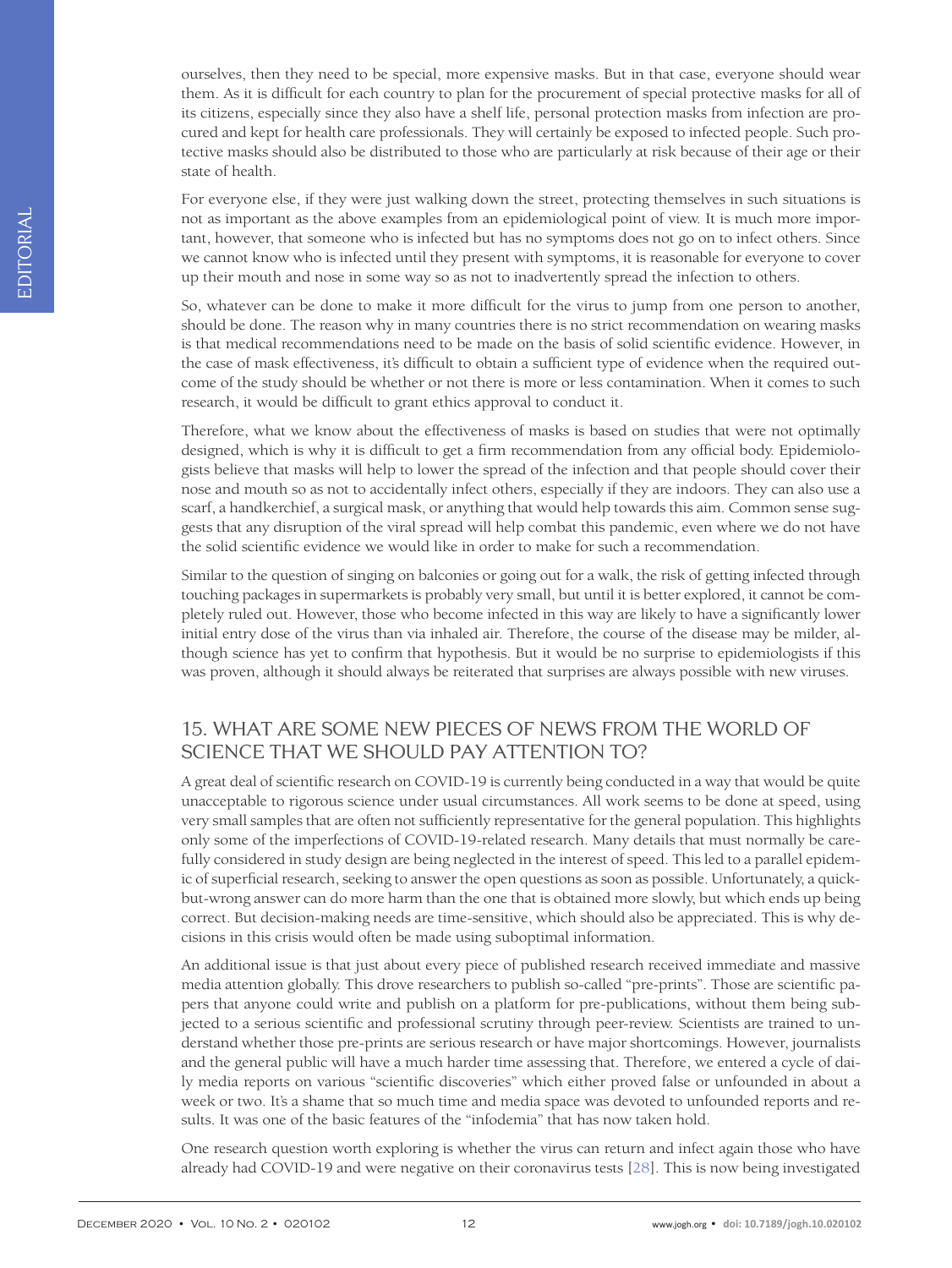ourselves, then they need to be special, more expensive masks. But in that case, everyone should wear them. As it is difficult for each country to plan for the procurement of special protective masks for all of its citizens, especially since they also have a shelf life, personal protection masks from infection are procured and kept for health care professionals. They will certainly be exposed to infected people. Such protective masks should also be distributed to those who are particularly at risk because of their age or their state of health.

For everyone else, if they were just walking down the street, protecting themselves in such situations is not as important as the above examples from an epidemiological point of view. It is much more important, however, that someone who is infected but has no symptoms does not go on to infect others. Since we cannot know who is infected until they present with symptoms, it is reasonable for everyone to cover up their mouth and nose in some way so as not to inadvertently spread the infection to others.

So, whatever can be done to make it more difficult for the virus to jump from one person to another, should be done. The reason why in many countries there is no strict recommendation on wearing masks is that medical recommendations need to be made on the basis of solid scientific evidence. However, in the case of mask effectiveness, it's difficult to obtain a sufficient type of evidence when the required outcome of the study should be whether or not there is more or less contamination. When it comes to such research, it would be difficult to grant ethics approval to conduct it.

Therefore, what we know about the effectiveness of masks is based on studies that were not optimally designed, which is why it is difficult to get a firm recommendation from any official body. Epidemiologists believe that masks will help to lower the spread of the infection and that people should cover their nose and mouth so as not to accidentally infect others, especially if they are indoors. They can also use a scarf, a handkerchief, a surgical mask, or anything that would help towards this aim. Common sense suggests that any disruption of the viral spread will help combat this pandemic, even where we do not have the solid scientific evidence we would like in order to make for such a recommendation.

Similar to the question of singing on balconies or going out for a walk, the risk of getting infected through touching packages in supermarkets is probably very small, but until it is better explored, it cannot be completely ruled out. However, those who become infected in this way are likely to have a significantly lower initial entry dose of the virus than via inhaled air. Therefore, the course of the disease may be milder, although science has yet to confirm that hypothesis. But it would be no surprise to epidemiologists if this was proven, although it should always be reiterated that surprises are always possible with new viruses.

#### 15. WHAT ARE SOME NEW PIECES OF NEWS FROM THE WORLD OF SCIENCE THAT WE SHOULD PAY ATTENTION TO?

A great deal of scientific research on COVID-19 is currently being conducted in a way that would be quite unacceptable to rigorous science under usual circumstances. All work seems to be done at speed, using very small samples that are often not sufficiently representative for the general population. This highlights only some of the imperfections of COVID-19-related research. Many details that must normally be carefully considered in study design are being neglected in the interest of speed. This led to a parallel epidemic of superficial research, seeking to answer the open questions as soon as possible. Unfortunately, a quickbut-wrong answer can do more harm than the one that is obtained more slowly, but which ends up being correct. But decision-making needs are time-sensitive, which should also be appreciated. This is why decisions in this crisis would often be made using suboptimal information.

An additional issue is that just about every piece of published research received immediate and massive media attention globally. This drove researchers to publish so-called "pre-prints". Those are scientific papers that anyone could write and publish on a platform for pre-publications, without them being subjected to a serious scientific and professional scrutiny through peer-review. Scientists are trained to understand whether those pre-prints are serious research or have major shortcomings. However, journalists and the general public will have a much harder time assessing that. Therefore, we entered a cycle of daily media reports on various "scientific discoveries" which either proved false or unfounded in about a week or two. It's a shame that so much time and media space was devoted to unfounded reports and results. It was one of the basic features of the "infodemia" that has now taken hold.

One research question worth exploring is whether the virus can return and infect again those who have already had COVID-19 and were negative on their coronavirus tests [[28](#page-17-8)]. This is now being investigated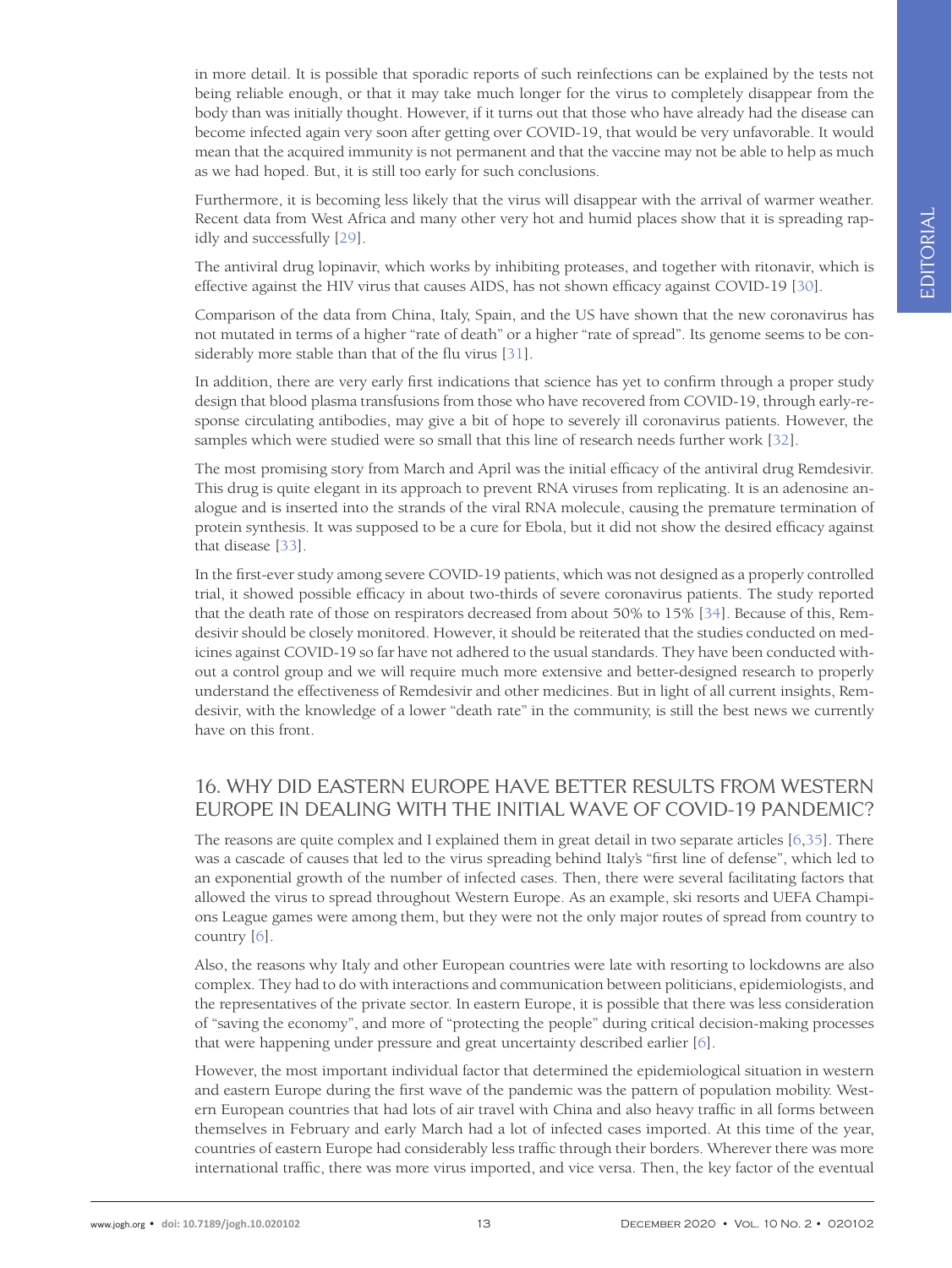in more detail. It is possible that sporadic reports of such reinfections can be explained by the tests not being reliable enough, or that it may take much longer for the virus to completely disappear from the body than was initially thought. However, if it turns out that those who have already had the disease can become infected again very soon after getting over COVID-19, that would be very unfavorable. It would mean that the acquired immunity is not permanent and that the vaccine may not be able to help as much as we had hoped. But, it is still too early for such conclusions.

Furthermore, it is becoming less likely that the virus will disappear with the arrival of warmer weather. Recent data from West Africa and many other very hot and humid places show that it is spreading rapidly and successfully [\[29](#page-17-9)].

The antiviral drug lopinavir, which works by inhibiting proteases, and together with ritonavir, which is effective against the HIV virus that causes AIDS, has not shown efficacy against COVID-19 [[30](#page-17-10)].

Comparison of the data from China, Italy, Spain, and the US have shown that the new coronavirus has not mutated in terms of a higher "rate of death" or a higher "rate of spread". Its genome seems to be considerably more stable than that of the flu virus [\[31](#page-17-11)].

In addition, there are very early first indications that science has yet to confirm through a proper study design that blood plasma transfusions from those who have recovered from COVID-19, through early-response circulating antibodies, may give a bit of hope to severely ill coronavirus patients. However, the samples which were studied were so small that this line of research needs further work [[32](#page-17-12)].

The most promising story from March and April was the initial efficacy of the antiviral drug Remdesivir. This drug is quite elegant in its approach to prevent RNA viruses from replicating. It is an adenosine analogue and is inserted into the strands of the viral RNA molecule, causing the premature termination of protein synthesis. It was supposed to be a cure for Ebola, but it did not show the desired efficacy against that disease [[33\]](#page-17-13).

In the first-ever study among severe COVID-19 patients, which was not designed as a properly controlled trial, it showed possible efficacy in about two-thirds of severe coronavirus patients. The study reported that the death rate of those on respirators decreased from about 50% to 15% [\[34](#page-17-14)]. Because of this, Remdesivir should be closely monitored. However, it should be reiterated that the studies conducted on medicines against COVID-19 so far have not adhered to the usual standards. They have been conducted without a control group and we will require much more extensive and better-designed research to properly understand the effectiveness of Remdesivir and other medicines. But in light of all current insights, Remdesivir, with the knowledge of a lower "death rate" in the community, is still the best news we currently have on this front.

# 16. WHY DID EASTERN EUROPE HAVE BETTER RESULTS FROM WESTERN EUROPE IN DEALING WITH THE INITIAL WAVE OF COVID-19 PANDEMIC?

The reasons are quite complex and I explained them in great detail in two separate articles [[6](#page-16-5),[35\]](#page-17-15). There was a cascade of causes that led to the virus spreading behind Italy's "first line of defense", which led to an exponential growth of the number of infected cases. Then, there were several facilitating factors that allowed the virus to spread throughout Western Europe. As an example, ski resorts and UEFA Champions League games were among them, but they were not the only major routes of spread from country to country [[6](#page-16-5)].

Also, the reasons why Italy and other European countries were late with resorting to lockdowns are also complex. They had to do with interactions and communication between politicians, epidemiologists, and the representatives of the private sector. In eastern Europe, it is possible that there was less consideration of "saving the economy", and more of "protecting the people" during critical decision-making processes that were happening under pressure and great uncertainty described earlier [[6\]](#page-16-5).

However, the most important individual factor that determined the epidemiological situation in western and eastern Europe during the first wave of the pandemic was the pattern of population mobility. Western European countries that had lots of air travel with China and also heavy traffic in all forms between themselves in February and early March had a lot of infected cases imported. At this time of the year, countries of eastern Europe had considerably less traffic through their borders. Wherever there was more international traffic, there was more virus imported, and vice versa. Then, the key factor of the eventual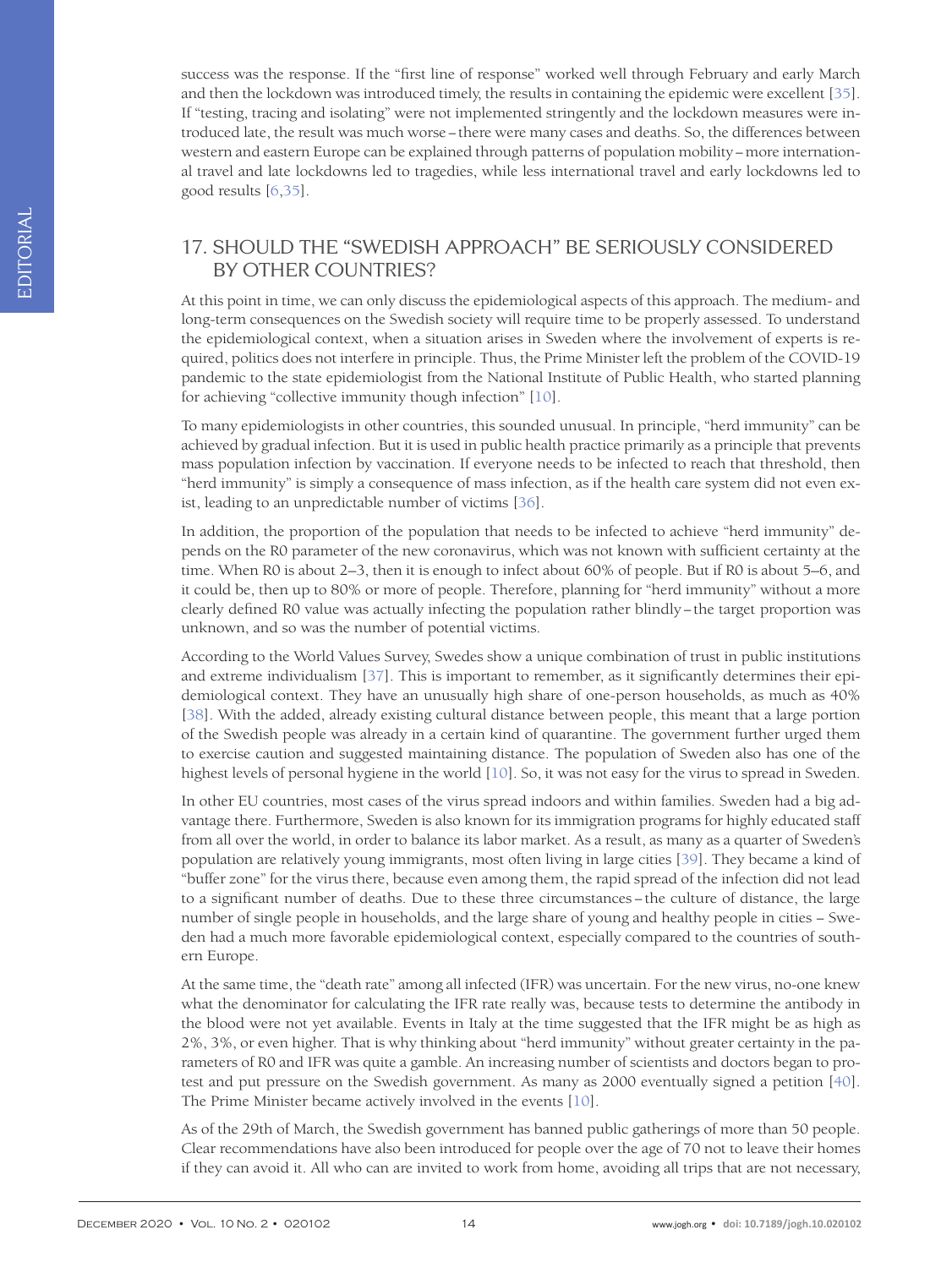success was the response. If the "first line of response" worked well through February and early March and then the lockdown was introduced timely, the results in containing the epidemic were excellent [[35](#page-17-15)]. If "testing, tracing and isolating" were not implemented stringently and the lockdown measures were introduced late, the result was much worse−there were many cases and deaths. So, the differences between western and eastern Europe can be explained through patterns of population mobility−more international travel and late lockdowns led to tragedies, while less international travel and early lockdowns led to good results [[6](#page-16-5),[35](#page-17-15)].

#### 17. SHOULD THE "SWEDISH APPROACH" BE SERIOUSLY CONSIDERED BY OTHER COUNTRIES?

At this point in time, we can only discuss the epidemiological aspects of this approach. The medium- and long-term consequences on the Swedish society will require time to be properly assessed. To understand the epidemiological context, when a situation arises in Sweden where the involvement of experts is required, politics does not interfere in principle. Thus, the Prime Minister left the problem of the COVID-19 pandemic to the state epidemiologist from the National Institute of Public Health, who started planning for achieving "collective immunity though infection" [\[10](#page-16-9)].

To many epidemiologists in other countries, this sounded unusual. In principle, "herd immunity" can be achieved by gradual infection. But it is used in public health practice primarily as a principle that prevents mass population infection by vaccination. If everyone needs to be infected to reach that threshold, then "herd immunity" is simply a consequence of mass infection, as if the health care system did not even exist, leading to an unpredictable number of victims [[36\]](#page-17-16).

In addition, the proportion of the population that needs to be infected to achieve "herd immunity" depends on the R0 parameter of the new coronavirus, which was not known with sufficient certainty at the time. When R0 is about 2–3, then it is enough to infect about 60% of people. But if R0 is about 5–6, and it could be, then up to 80% or more of people. Therefore, planning for "herd immunity" without a more clearly defined R0 value was actually infecting the population rather blindly−the target proportion was unknown, and so was the number of potential victims.

According to the World Values Survey, Swedes show a unique combination of trust in public institutions and extreme individualism [[37](#page-17-17)]. This is important to remember, as it significantly determines their epidemiological context. They have an unusually high share of one-person households, as much as 40% [[38](#page-17-18)]. With the added, already existing cultural distance between people, this meant that a large portion of the Swedish people was already in a certain kind of quarantine. The government further urged them to exercise caution and suggested maintaining distance. The population of Sweden also has one of the highest levels of personal hygiene in the world [\[10\]](#page-16-9). So, it was not easy for the virus to spread in Sweden.

In other EU countries, most cases of the virus spread indoors and within families. Sweden had a big advantage there. Furthermore, Sweden is also known for its immigration programs for highly educated staff from all over the world, in order to balance its labor market. As a result, as many as a quarter of Sweden's population are relatively young immigrants, most often living in large cities [\[39\]](#page-17-19). They became a kind of "buffer zone" for the virus there, because even among them, the rapid spread of the infection did not lead to a significant number of deaths. Due to these three circumstances−the culture of distance, the large number of single people in households, and the large share of young and healthy people in cities − Sweden had a much more favorable epidemiological context, especially compared to the countries of southern Europe.

At the same time, the "death rate" among all infected (IFR) was uncertain. For the new virus, no-one knew what the denominator for calculating the IFR rate really was, because tests to determine the antibody in the blood were not yet available. Events in Italy at the time suggested that the IFR might be as high as 2%, 3%, or even higher. That is why thinking about "herd immunity" without greater certainty in the parameters of R0 and IFR was quite a gamble. An increasing number of scientists and doctors began to protest and put pressure on the Swedish government. As many as 2000 eventually signed a petition [[40](#page-17-20)]. The Prime Minister became actively involved in the events [\[10](#page-16-9)].

As of the 29th of March, the Swedish government has banned public gatherings of more than 50 people. Clear recommendations have also been introduced for people over the age of 70 not to leave their homes if they can avoid it. All who can are invited to work from home, avoiding all trips that are not necessary,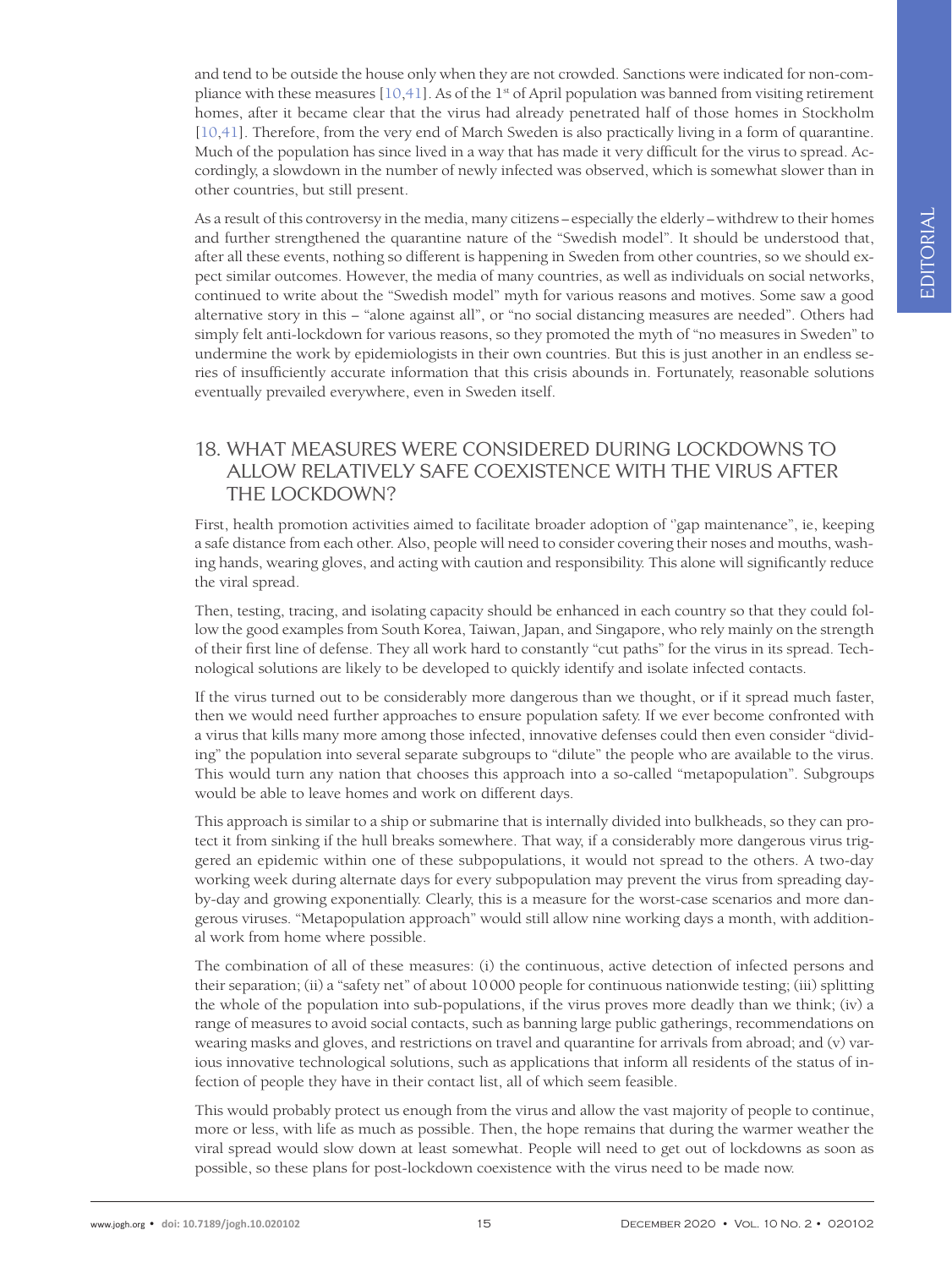and tend to be outside the house only when they are not crowded. Sanctions were indicated for non-com-pliance with these measures [\[10](#page-16-9),[41](#page-17-21)]. As of the 1<sup>st</sup> of April population was banned from visiting retirement homes, after it became clear that the virus had already penetrated half of those homes in Stockholm [\[10](#page-16-9),[41](#page-17-21)]. Therefore, from the very end of March Sweden is also practically living in a form of quarantine. Much of the population has since lived in a way that has made it very difficult for the virus to spread. Accordingly, a slowdown in the number of newly infected was observed, which is somewhat slower than in other countries, but still present.

As a result of this controversy in the media, many citizens−especially the elderly−withdrew to their homes and further strengthened the quarantine nature of the "Swedish model". It should be understood that, after all these events, nothing so different is happening in Sweden from other countries, so we should expect similar outcomes. However, the media of many countries, as well as individuals on social networks, continued to write about the "Swedish model" myth for various reasons and motives. Some saw a good alternative story in this − "alone against all", or "no social distancing measures are needed". Others had simply felt anti-lockdown for various reasons, so they promoted the myth of "no measures in Sweden" to undermine the work by epidemiologists in their own countries. But this is just another in an endless series of insufficiently accurate information that this crisis abounds in. Fortunately, reasonable solutions eventually prevailed everywhere, even in Sweden itself.

#### 18. WHAT MEASURES WERE CONSIDERED DURING LOCKDOWNS TO ALLOW RELATIVELY SAFE COEXISTENCE WITH THE VIRUS AFTER THE LOCKDOWN?

First, health promotion activities aimed to facilitate broader adoption of "gap maintenance", ie, keeping a safe distance from each other. Also, people will need to consider covering their noses and mouths, washing hands, wearing gloves, and acting with caution and responsibility. This alone will significantly reduce the viral spread.

Then, testing, tracing, and isolating capacity should be enhanced in each country so that they could follow the good examples from South Korea, Taiwan, Japan, and Singapore, who rely mainly on the strength of their first line of defense. They all work hard to constantly "cut paths" for the virus in its spread. Technological solutions are likely to be developed to quickly identify and isolate infected contacts.

If the virus turned out to be considerably more dangerous than we thought, or if it spread much faster, then we would need further approaches to ensure population safety. If we ever become confronted with a virus that kills many more among those infected, innovative defenses could then even consider "dividing" the population into several separate subgroups to "dilute" the people who are available to the virus. This would turn any nation that chooses this approach into a so-called "metapopulation". Subgroups would be able to leave homes and work on different days.

This approach is similar to a ship or submarine that is internally divided into bulkheads, so they can protect it from sinking if the hull breaks somewhere. That way, if a considerably more dangerous virus triggered an epidemic within one of these subpopulations, it would not spread to the others. A two-day working week during alternate days for every subpopulation may prevent the virus from spreading dayby-day and growing exponentially. Clearly, this is a measure for the worst-case scenarios and more dangerous viruses. "Metapopulation approach" would still allow nine working days a month, with additional work from home where possible.

The combination of all of these measures: (i) the continuous, active detection of infected persons and their separation; (ii) a "safety net" of about 10000 people for continuous nationwide testing; (iii) splitting the whole of the population into sub-populations, if the virus proves more deadly than we think; (iv) a range of measures to avoid social contacts, such as banning large public gatherings, recommendations on wearing masks and gloves, and restrictions on travel and quarantine for arrivals from abroad; and (v) various innovative technological solutions, such as applications that inform all residents of the status of infection of people they have in their contact list, all of which seem feasible.

This would probably protect us enough from the virus and allow the vast majority of people to continue, more or less, with life as much as possible. Then, the hope remains that during the warmer weather the viral spread would slow down at least somewhat. People will need to get out of lockdowns as soon as possible, so these plans for post-lockdown coexistence with the virus need to be made now.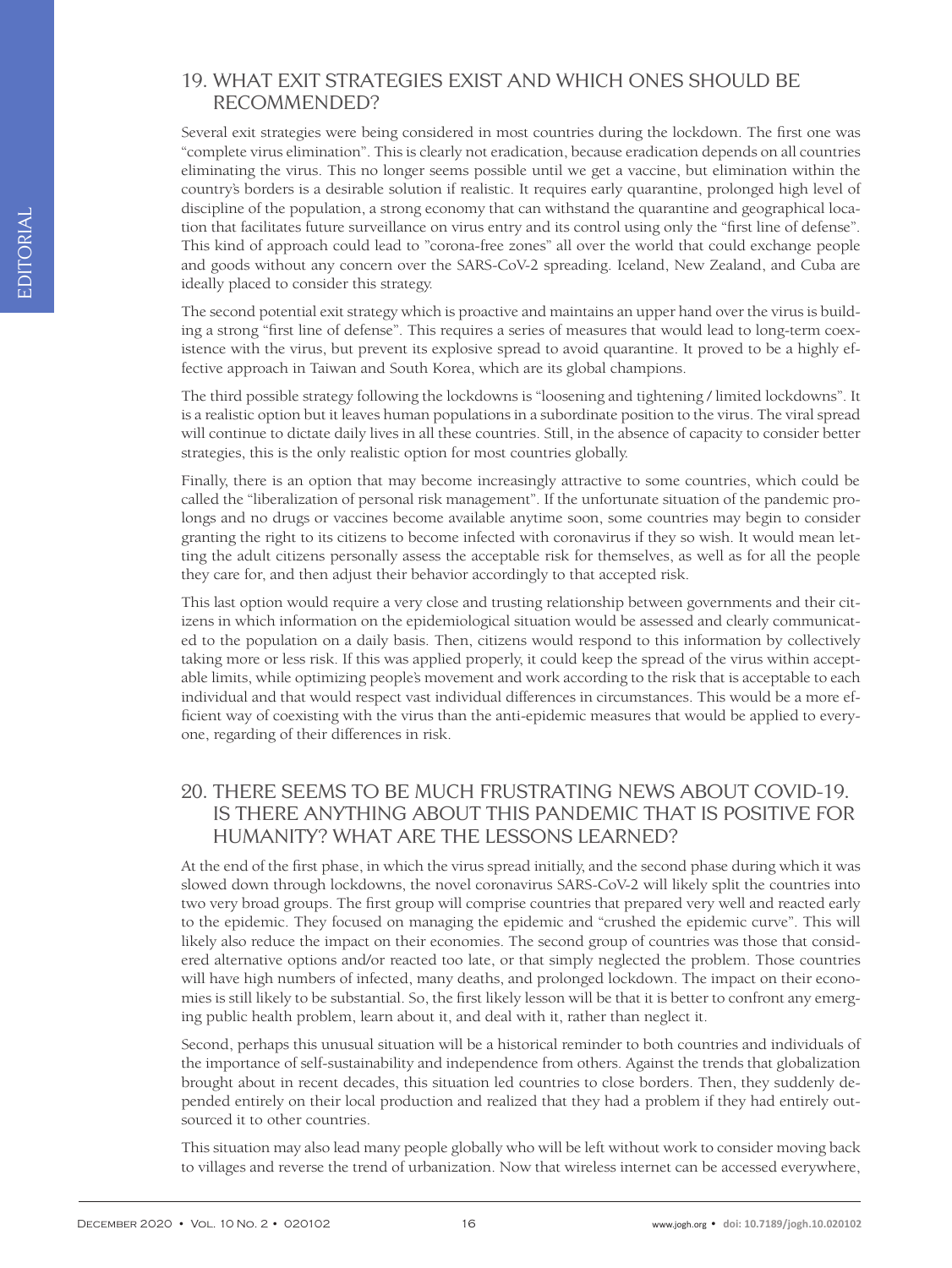#### 19. WHAT EXIT STRATEGIES EXIST AND WHICH ONES SHOULD BE RECOMMENDED?

Several exit strategies were being considered in most countries during the lockdown. The first one was "complete virus elimination". This is clearly not eradication, because eradication depends on all countries eliminating the virus. This no longer seems possible until we get a vaccine, but elimination within the country's borders is a desirable solution if realistic. It requires early quarantine, prolonged high level of discipline of the population, a strong economy that can withstand the quarantine and geographical location that facilitates future surveillance on virus entry and its control using only the "first line of defense". This kind of approach could lead to "corona-free zones" all over the world that could exchange people and goods without any concern over the SARS-CoV-2 spreading. Iceland, New Zealand, and Cuba are ideally placed to consider this strategy.

The second potential exit strategy which is proactive and maintains an upper hand over the virus is building a strong "first line of defense". This requires a series of measures that would lead to long-term coexistence with the virus, but prevent its explosive spread to avoid quarantine. It proved to be a highly effective approach in Taiwan and South Korea, which are its global champions.

The third possible strategy following the lockdowns is "loosening and tightening / limited lockdowns". It is a realistic option but it leaves human populations in a subordinate position to the virus. The viral spread will continue to dictate daily lives in all these countries. Still, in the absence of capacity to consider better strategies, this is the only realistic option for most countries globally.

Finally, there is an option that may become increasingly attractive to some countries, which could be called the "liberalization of personal risk management". If the unfortunate situation of the pandemic prolongs and no drugs or vaccines become available anytime soon, some countries may begin to consider granting the right to its citizens to become infected with coronavirus if they so wish. It would mean letting the adult citizens personally assess the acceptable risk for themselves, as well as for all the people they care for, and then adjust their behavior accordingly to that accepted risk.

This last option would require a very close and trusting relationship between governments and their citizens in which information on the epidemiological situation would be assessed and clearly communicated to the population on a daily basis. Then, citizens would respond to this information by collectively taking more or less risk. If this was applied properly, it could keep the spread of the virus within acceptable limits, while optimizing people's movement and work according to the risk that is acceptable to each individual and that would respect vast individual differences in circumstances. This would be a more efficient way of coexisting with the virus than the anti-epidemic measures that would be applied to everyone, regarding of their differences in risk.

#### 20. THERE SEEMS TO BE MUCH FRUSTRATING NEWS ABOUT COVID-19. IS THERE ANYTHING ABOUT THIS PANDEMIC THAT IS POSITIVE FOR HUMANITY? WHAT ARE THE LESSONS LEARNED?

At the end of the first phase, in which the virus spread initially, and the second phase during which it was slowed down through lockdowns, the novel coronavirus SARS-CoV-2 will likely split the countries into two very broad groups. The first group will comprise countries that prepared very well and reacted early to the epidemic. They focused on managing the epidemic and "crushed the epidemic curve". This will likely also reduce the impact on their economies. The second group of countries was those that considered alternative options and/or reacted too late, or that simply neglected the problem. Those countries will have high numbers of infected, many deaths, and prolonged lockdown. The impact on their economies is still likely to be substantial. So, the first likely lesson will be that it is better to confront any emerging public health problem, learn about it, and deal with it, rather than neglect it.

Second, perhaps this unusual situation will be a historical reminder to both countries and individuals of the importance of self-sustainability and independence from others. Against the trends that globalization brought about in recent decades, this situation led countries to close borders. Then, they suddenly depended entirely on their local production and realized that they had a problem if they had entirely outsourced it to other countries.

This situation may also lead many people globally who will be left without work to consider moving back to villages and reverse the trend of urbanization. Now that wireless internet can be accessed everywhere,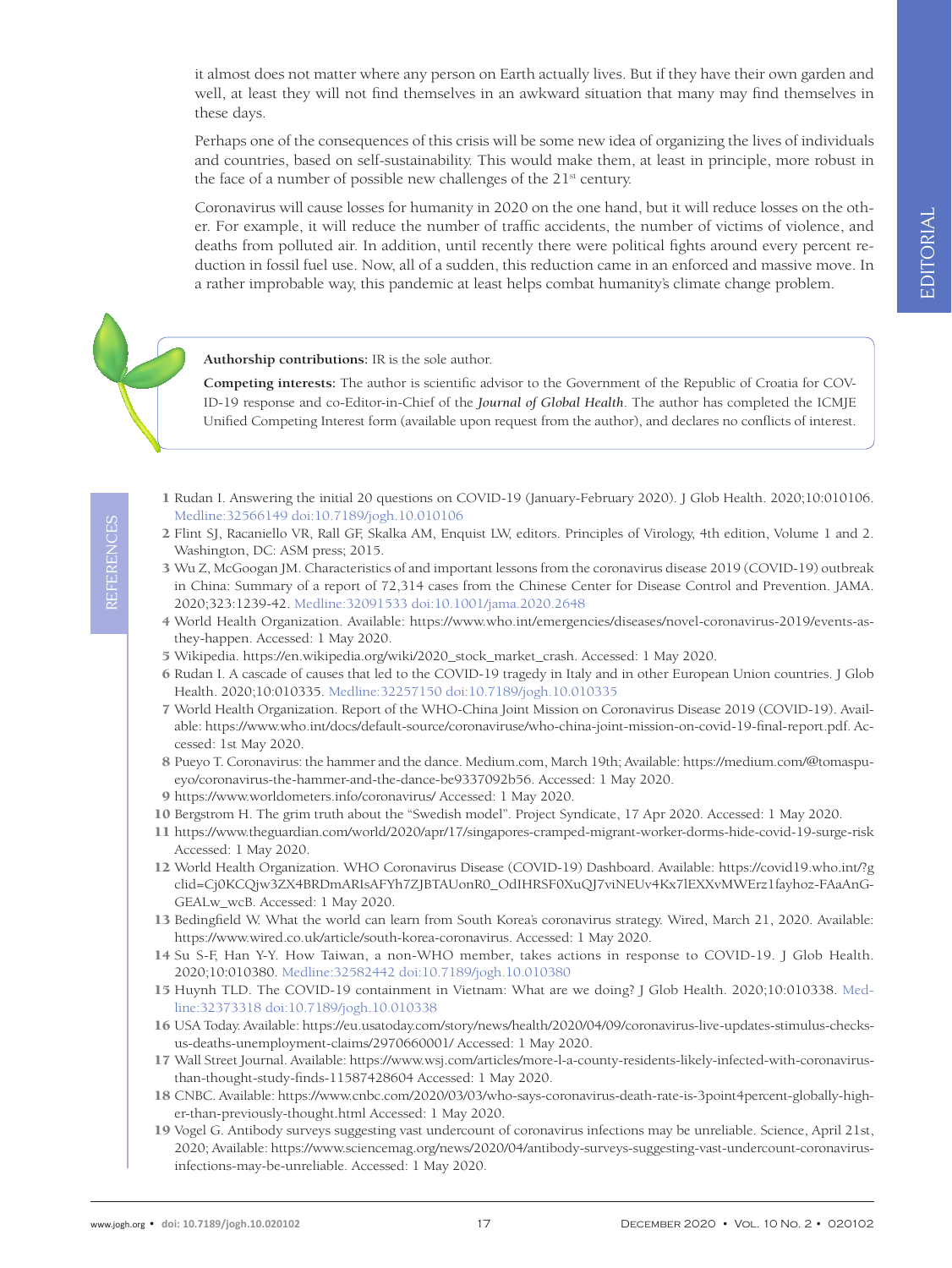it almost does not matter where any person on Earth actually lives. But if they have their own garden and well, at least they will not find themselves in an awkward situation that many may find themselves in these days.

Perhaps one of the consequences of this crisis will be some new idea of organizing the lives of individuals and countries, based on self-sustainability. This would make them, at least in principle, more robust in the face of a number of possible new challenges of the 21<sup>st</sup> century.

Coronavirus will cause losses for humanity in 2020 on the one hand, but it will reduce losses on the other. For example, it will reduce the number of traffic accidents, the number of victims of violence, and deaths from polluted air. In addition, until recently there were political fights around every percent reduction in fossil fuel use. Now, all of a sudden, this reduction came in an enforced and massive move. In a rather improbable way, this pandemic at least helps combat humanity's climate change problem.

#### **Authorship contributions:** IR is the sole author.

**Competing interests:** The author is scientific advisor to the Government of the Republic of Croatia for COV-ID-19 response and co-Editor-in-Chief of the *Journal of Global Health*. The author has completed the ICMJE Unified Competing Interest form (available upon request from the author), and declares no conflicts of interest.

- <span id="page-16-0"></span> 1 Rudan I. Answering the initial 20 questions on COVID-19 (January-February 2020). J Glob Health. 2020;10:010106. [Medline:32566149](https://www.ncbi.nlm.nih.gov/entrez/query.fcgi?cmd=Retrieve&db=PubMed&list_uids=32566149&dopt=Abstract) [doi:10.7189/jogh.10.010106](https://doi.org/10.7189/jogh.10.010106)
- <span id="page-16-1"></span> 2 Flint SJ, Racaniello VR, Rall GF, Skalka AM, Enquist LW, editors. Principles of Virology, 4th edition, Volume 1 and 2. Washington, DC: ASM press; 2015.
- <span id="page-16-2"></span> 3 Wu Z, McGoogan JM. Characteristics of and important lessons from the coronavirus disease 2019 (COVID-19) outbreak in China: Summary of a report of 72,314 cases from the Chinese Center for Disease Control and Prevention. JAMA. 2020;323:1239-42. [Medline:32091533](https://www.ncbi.nlm.nih.gov/entrez/query.fcgi?cmd=Retrieve&db=PubMed&list_uids=32091533&dopt=Abstract) [doi:10.1001/jama.2020.2648](https://doi.org/10.1001/jama.2020.2648)
- <span id="page-16-3"></span> 4 World Health Organization. Available: https://www.who.int/emergencies/diseases/novel-coronavirus-2019/events-asthey-happen. Accessed: 1 May 2020.
- <span id="page-16-4"></span>5 Wikipedia. https://en.wikipedia.org/wiki/2020\_stock\_market\_crash. Accessed: 1 May 2020.
- <span id="page-16-5"></span> 6 Rudan I. A cascade of causes that led to the COVID-19 tragedy in Italy and in other European Union countries. J Glob Health. 2020;10:010335. [Medline:32257150](https://www.ncbi.nlm.nih.gov/entrez/query.fcgi?cmd=Retrieve&db=PubMed&list_uids=32257150&dopt=Abstract) [doi:10.7189/jogh.10.010335](https://doi.org/10.7189/jogh.10.010335)
- <span id="page-16-6"></span> 7 World Health Organization. Report of the WHO-China Joint Mission on Coronavirus Disease 2019 (COVID-19). Available: https://www.who.int/docs/default-source/coronaviruse/who-china-joint-mission-on-covid-19-final-report.pdf. Accessed: 1st May 2020.
- <span id="page-16-7"></span> 8 Pueyo T. Coronavirus: the hammer and the dance. Medium.com, March 19th; Available: https://medium.com/@tomaspueyo/coronavirus-the-hammer-and-the-dance-be9337092b56. Accessed: 1 May 2020.
- <span id="page-16-8"></span>9 https://www.worldometers.info/coronavirus/ Accessed: 1 May 2020.
- <span id="page-16-9"></span>10 Bergstrom H. The grim truth about the "Swedish model". Project Syndicate, 17 Apr 2020. Accessed: 1 May 2020.
- <span id="page-16-10"></span>11 https://www.theguardian.com/world/2020/apr/17/singapores-cramped-migrant-worker-dorms-hide-covid-19-surge-risk Accessed: 1 May 2020.
- <span id="page-16-11"></span>12 World Health Organization. WHO Coronavirus Disease (COVID-19) Dashboard. Available: https://covid19.who.int/?g clid=Cj0KCQjw3ZX4BRDmARIsAFYh7ZJBTAUonR0\_OdIHRSF0XuQJ7viNEUv4Kx7lEXXvMWErz1fayhoz-FAaAnG-GEALw\_wcB. Accessed: 1 May 2020.
- <span id="page-16-12"></span>13 Bedingfield W. What the world can learn from South Korea's coronavirus strategy. Wired, March 21, 2020. Available: https://www.wired.co.uk/article/south-korea-coronavirus. Accessed: 1 May 2020.
- <span id="page-16-13"></span>14 Su S-F, Han Y-Y. How Taiwan, a non-WHO member, takes actions in response to COVID-19. J Glob Health. 2020;10:010380. [Medline:32582442](https://www.ncbi.nlm.nih.gov/entrez/query.fcgi?cmd=Retrieve&db=PubMed&list_uids=32582442&dopt=Abstract) [doi:10.7189/jogh.10.010380](https://doi.org/10.7189/jogh.10.010380)
- <span id="page-16-14"></span>15 Huynh TLD. The COVID-19 containment in Vietnam: What are we doing? J Glob Health. 2020;10:010338[. Med](https://www.ncbi.nlm.nih.gov/entrez/query.fcgi?cmd=Retrieve&db=PubMed&list_uids=32373318&dopt=Abstract)[line:32373318](https://www.ncbi.nlm.nih.gov/entrez/query.fcgi?cmd=Retrieve&db=PubMed&list_uids=32373318&dopt=Abstract) [doi:10.7189/jogh.10.010338](https://doi.org/10.7189/jogh.10.010338)
- <span id="page-16-15"></span>16 USA Today. Available: https://eu.usatoday.com/story/news/health/2020/04/09/coronavirus-live-updates-stimulus-checksus-deaths-unemployment-claims/2970660001/ Accessed: 1 May 2020.
- <span id="page-16-16"></span>17 Wall Street Journal. Available: https://www.wsj.com/articles/more-l-a-county-residents-likely-infected-with-coronavirusthan-thought-study-finds-11587428604 Accessed: 1 May 2020.
- <span id="page-16-17"></span>18 CNBC. Available: https://www.cnbc.com/2020/03/03/who-says-coronavirus-death-rate-is-3point4percent-globally-higher-than-previously-thought.html Accessed: 1 May 2020.
- <span id="page-16-18"></span>19 Vogel G. Antibody surveys suggesting vast undercount of coronavirus infections may be unreliable. Science, April 21st, 2020; Available: https://www.sciencemag.org/news/2020/04/antibody-surveys-suggesting-vast-undercount-coronavirusinfections-may-be-unreliable. Accessed: 1 May 2020.